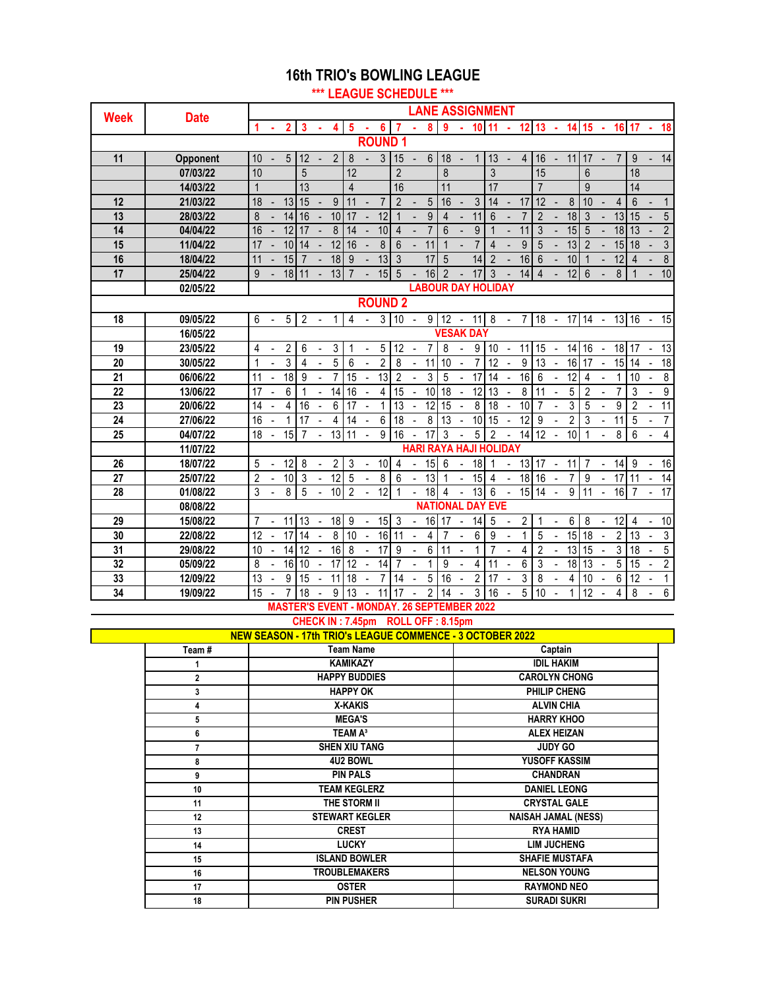#### **16th TRIO's BOWLING LEAGUE**

**\*\*\* LEAGUE SCHEDULE \*\*\***

| <b>Week</b> | <b>Date</b> |                |                |                 |                 |                |                 |                |                          |                 |                |                |                  | <b>LANE ASSIGNMENT</b>        |                          |                 |                |                          |                 |                 |                          |                |                 |                          |                 |                 |                          |                         |
|-------------|-------------|----------------|----------------|-----------------|-----------------|----------------|-----------------|----------------|--------------------------|-----------------|----------------|----------------|------------------|-------------------------------|--------------------------|-----------------|----------------|--------------------------|-----------------|-----------------|--------------------------|----------------|-----------------|--------------------------|-----------------|-----------------|--------------------------|-------------------------|
|             |             | 1              |                | $\overline{2}$  | 3               |                | 4               | 5              |                          | 6               | 7              |                | 8                | 9                             |                          | 10 <sup>1</sup> | 11             |                          | $12 \, 13$      |                 | $\mathbf{r}$             | 14             | 15              | - 4                      | 16 17           |                 | - 4                      | 18                      |
|             |             |                |                |                 |                 |                |                 |                |                          | <b>ROUND1</b>   |                |                |                  |                               |                          |                 |                |                          |                 |                 |                          |                |                 |                          |                 |                 |                          |                         |
| 11          | Opponent    | 10             |                | 5               | 12              |                | $\overline{2}$  | 8              |                          | 3               | 15             | L,             | $6\phantom{1}$   | 18                            | $\overline{a}$           | 1               | 13             | $\blacksquare$           | $\overline{4}$  | 16              | $\blacksquare$           | 11             | 17              |                          | 7               | 9               |                          | 14                      |
|             | 07/03/22    | 10             |                |                 | 5               |                |                 | 12             |                          |                 | $\overline{2}$ |                |                  | 8                             |                          |                 | $\overline{3}$ |                          |                 | 15              |                          |                | 6               |                          |                 | 18              |                          |                         |
|             | 14/03/22    | 1              |                |                 | 13              |                |                 | $\overline{4}$ |                          |                 | 16             |                |                  | 11                            |                          |                 | 17             |                          |                 | $\overline{7}$  |                          |                | 9               |                          |                 | 14              |                          |                         |
| 12          | 21/03/22    | 18             |                | 13              | 15              |                | 9               | 11             |                          | $\overline{7}$  | $\overline{2}$ |                | 5                | 16                            |                          | 3               | 14             |                          | 17              | 12              |                          | 8              | 10              |                          | 4               | 6               |                          | $\mathbf{1}$            |
| 13          | 28/03/22    | 8              |                | 14              | 16              |                | 10              | 17             |                          | 12              | $\mathbf 1$    |                | $\boldsymbol{9}$ | 4                             |                          | 11              | 6              |                          | $\overline{7}$  | $\overline{2}$  |                          | 18             | 3               |                          | 13              | 15              |                          | 5                       |
| 14          | 04/04/22    | 16             |                | 12              | 17              |                | 8               | 14             |                          | 10              | $\overline{4}$ |                | $\overline{7}$   | 6                             |                          | 9               | $\overline{1}$ |                          | 11              | 3               |                          | 15             | 5               |                          | 18              | 13              |                          | $\overline{2}$          |
| 15          | 11/04/22    | 17             |                | 10              | 14              |                | 12              | 16             |                          | 8               | 6              |                | 11               | 1                             |                          | $\overline{7}$  | $\overline{4}$ |                          | 9               | 5               |                          | 13             | $\overline{2}$  |                          | 15              | 18              |                          | $\mathfrak{Z}$          |
| 16          | 18/04/22    | 11             |                | 15              | $\overline{7}$  |                | 18              | 9              |                          | 13              | 3              |                | 17               | 5                             |                          | 14              | $\overline{2}$ |                          | 16              | 6               |                          | 10             | $\overline{1}$  |                          | 12              | $\overline{4}$  |                          | $\bf 8$                 |
| 17          | 25/04/22    | 9              |                | 18              | 11              |                | 13              | $\overline{7}$ |                          | 15              | 5              |                | 16               | $\mathfrak{p}$                |                          | 17              | 3              |                          | 14              | $\overline{4}$  |                          | 12             | 6               |                          | 8               |                 |                          | 10                      |
|             | 02/05/22    |                |                |                 |                 |                |                 |                |                          |                 |                |                |                  | <b>LABOUR DAY HOLIDAY</b>     |                          |                 |                |                          |                 |                 |                          |                |                 |                          |                 |                 |                          |                         |
|             |             |                |                |                 |                 |                |                 |                |                          |                 | <b>ROUND 2</b> |                |                  |                               |                          |                 |                |                          |                 |                 |                          |                |                 |                          |                 |                 |                          |                         |
| 18          | 09/05/22    | 6              |                | 5               | $\overline{2}$  |                | 1               | 4              |                          | 3               | 10             |                | 9                | 12                            | $\overline{\phantom{a}}$ | 11              | 8              |                          | $\overline{7}$  | 18              | $\overline{\phantom{a}}$ | 17             | 14              | $\overline{\phantom{a}}$ | 13 16           |                 | $\overline{\phantom{a}}$ | 15                      |
|             | 16/05/22    |                |                |                 |                 |                |                 |                |                          |                 |                |                |                  | <b>VESAK DAY</b>              |                          |                 |                |                          |                 |                 |                          |                |                 |                          |                 |                 |                          |                         |
| 19          | 23/05/22    | 4              |                | $\overline{2}$  | 6               |                | 3               | 1              | $\overline{a}$           | 5               | 12             |                | 7                | 8                             |                          | 9               | 10             | $\blacksquare$           | 11              | 15              | $\overline{\phantom{a}}$ | 14             | 16              | $\overline{\phantom{a}}$ | 18              | 17              |                          | 13                      |
| 20          | 30/05/22    | 1              |                | 3               | $\overline{4}$  |                | $\overline{5}$  | 6              |                          | $\overline{2}$  | $\overline{8}$ |                | 11               | 10                            |                          | $\overline{7}$  | 12             |                          | 9               | $\overline{13}$ | $\blacksquare$           | 16             | 17              | $\sim$                   | 15              | 14              |                          | $\overline{18}$         |
| 21          | 06/06/22    | 11             |                | $\overline{18}$ | 9               |                | 7               | 15             | $\overline{\phantom{a}}$ | $\overline{13}$ | $\overline{2}$ |                | 3                | 5                             |                          | 17              | 14             | $\overline{\phantom{a}}$ | 16              | 6               | $\overline{\phantom{a}}$ | 12             | 4               |                          | 1               | 10              |                          | $\overline{8}$          |
| 22          | 13/06/22    | 17             |                | 6               | 1               |                | 14              | 16             | $\overline{\phantom{a}}$ | 4               | 15             | $\overline{a}$ | 10               | 18                            | $\overline{\phantom{a}}$ | 12              | 13             | $\blacksquare$           | 8               | 11              |                          | 5              | $\overline{2}$  |                          | $\overline{7}$  | 3               |                          | 9                       |
| 23          | 20/06/22    | 14             |                | 4               | 16              |                | 6               | 17             |                          | 1               | 13             |                | 12               | 15                            |                          | 8               | 18             |                          | 10              | $\overline{7}$  |                          | 3              | 5               |                          | 9               | $\overline{2}$  |                          | $\overline{11}$         |
| 24          | 27/06/22    | 16             | $\overline{a}$ | $\mathbf{1}$    | 17              | $\overline{a}$ | 4               | 14             | $\overline{a}$           | 6               | 18             |                | 8                | 13                            | $\blacksquare$           | 10              | 15             | $\ddot{\phantom{a}}$     | $\overline{12}$ | 9               |                          | $\overline{2}$ | 3               |                          | 11              | 5               |                          | $\overline{7}$          |
| 25          | 04/07/22    | 18             | $\overline{a}$ | 15              | 7               |                | 13              | 11             |                          | 9               | 16             |                | 17               | 3                             |                          | 5               | $\overline{2}$ |                          | 14              | 12              |                          | 10             | $\overline{1}$  |                          | 8               | 6               |                          | $\overline{\mathbf{4}}$ |
|             | 11/07/22    |                |                |                 |                 |                |                 |                |                          |                 |                |                |                  | <b>HARI RAYA HAJI HOLIDAY</b> |                          |                 |                |                          |                 |                 |                          |                |                 |                          |                 |                 |                          |                         |
| 26          | 18/07/22    | 5              |                | 12              | 8               |                | 2               | 3              |                          | 10              | 4              |                | 15               | 6                             |                          | 18              |                |                          | 13              | 17              | $\overline{\phantom{a}}$ | 11             | $\overline{7}$  |                          | 14              | 9               |                          | 16                      |
| 27          | 25/07/22    | $\overline{2}$ |                | 10              | $\overline{3}$  |                | 12              | $\overline{5}$ |                          | $\overline{8}$  | 6              | $\blacksquare$ | $\overline{13}$  | 1                             |                          | 15              | $\overline{4}$ | $\blacksquare$           | $\overline{18}$ | 16              |                          | $\overline{7}$ | 9               |                          | 17              | 11              | $\overline{a}$           | 14                      |
| 28          | 01/08/22    | 3              |                | 8               | 5               |                | 10              | $\overline{2}$ |                          | 12              | 1              | L,             | 18               | 4                             |                          | 13              | 6              |                          | 15              | 14              | Ĭ.                       | 9              | 11              |                          | 16              | 7               |                          | 17                      |
|             | 08/08/22    |                |                |                 |                 |                |                 |                |                          |                 |                |                |                  | <b>NATIONAL DAY EVE</b>       |                          |                 |                |                          |                 |                 |                          |                |                 |                          |                 |                 |                          |                         |
| 29          | 15/08/22    | $\overline{7}$ |                | 11              | 13              |                | $\overline{18}$ | 9              |                          | $\overline{15}$ | 3              |                | 16               | 17                            |                          | 14              | 5              |                          | $\overline{2}$  | 1               |                          | 6              | 8               |                          | $\overline{12}$ | 4               |                          | 10                      |
| 30          | 22/08/22    | 12             |                | $\overline{17}$ | 14              |                | 8               | 10             | $\overline{\phantom{a}}$ | 16              | 11             |                | 4                | 7                             |                          | 6               | 9              |                          | 1               | 5               |                          | 15             | $\overline{18}$ |                          | $\overline{2}$  | $\overline{13}$ |                          | $\overline{3}$          |
| 31          | 29/08/22    | 10             |                | 14              | $\overline{12}$ |                | 16              | 8              |                          | $\overline{17}$ | 9              | $\overline{a}$ | 6                | 11                            | $\overline{a}$           | 1               | $\overline{7}$ |                          | $\overline{4}$  | $\overline{2}$  |                          | 13             | $\overline{15}$ |                          | 3               | 18              |                          | $\overline{5}$          |
| 32          | 05/09/22    | 8              |                | 16              | 10              |                | 17              | 12             |                          | 14              | $\overline{7}$ |                | 1                | 9                             |                          | 4               | 11             |                          | 6               | 3               |                          | 18             | 13              |                          | 5               | 15              |                          | $\overline{2}$          |
| 33          | 12/09/22    | 13             |                | 9               | 15              |                | 11              | 18             |                          | 7               | 14             |                | 5                | 16                            |                          | $\overline{2}$  | 17             |                          | 3               | 8               |                          | 4              | 10              |                          | 6               | 12              |                          | $\mathbf{1}$            |
| 34          | 19/09/22    | 15             |                |                 | 18              |                | 9               | 13             |                          | 11              | 17             |                | $\overline{2}$   | 14                            |                          | 3               | 16             | $\blacksquare$           | 5               | 10              |                          | 1              | 12              |                          | 4               | 8               |                          | 6                       |

#### **MASTER'S EVENT - MONDAY. 26 SEPTEMBER 2022**

#### **CHECK IN : 7.45pm ROLL OFF : 8.15pm**

|       | <b>NEW SEASON - 17th TRIO's LEAGUE COMMENCE - 3 OCTOBER 2022</b> |                            |
|-------|------------------------------------------------------------------|----------------------------|
| Team# | <b>Team Name</b>                                                 | Captain                    |
|       | <b>KAMIKAZY</b>                                                  | <b>IDIL HAKIM</b>          |
| 2     | <b>HAPPY BUDDIES</b>                                             | <b>CAROLYN CHONG</b>       |
| 3     | <b>HAPPY OK</b>                                                  | PHILIP CHENG               |
| 4     | <b>X-KAKIS</b>                                                   | <b>ALVIN CHIA</b>          |
| 5     | <b>MEGA'S</b>                                                    | <b>HARRY KHOO</b>          |
| 6     | TEAM A <sup>3</sup>                                              | <b>ALEX HEIZAN</b>         |
| 7     | <b>SHEN XIU TANG</b>                                             | <b>JUDY GO</b>             |
| 8     | <b>4U2 BOWL</b>                                                  | YUSOFF KASSIM              |
| 9     | <b>PIN PALS</b>                                                  | <b>CHANDRAN</b>            |
| 10    | <b>TEAM KEGLERZ</b>                                              | <b>DANIEL LEONG</b>        |
| 11    | THE STORM II                                                     | <b>CRYSTAL GALE</b>        |
| 12    | <b>STEWART KEGLER</b>                                            | <b>NAISAH JAMAL (NESS)</b> |
| 13    | <b>CREST</b>                                                     | <b>RYA HAMID</b>           |
| 14    | <b>LUCKY</b>                                                     | <b>LIM JUCHENG</b>         |
| 15    | <b>ISLAND BOWLER</b>                                             | <b>SHAFIE MUSTAFA</b>      |
| 16    | <b>TROUBLEMAKERS</b>                                             | <b>NELSON YOUNG</b>        |
| 17    | <b>OSTER</b>                                                     | <b>RAYMOND NEO</b>         |
| 18    | <b>PIN PUSHER</b>                                                | <b>SURADI SUKRI</b>        |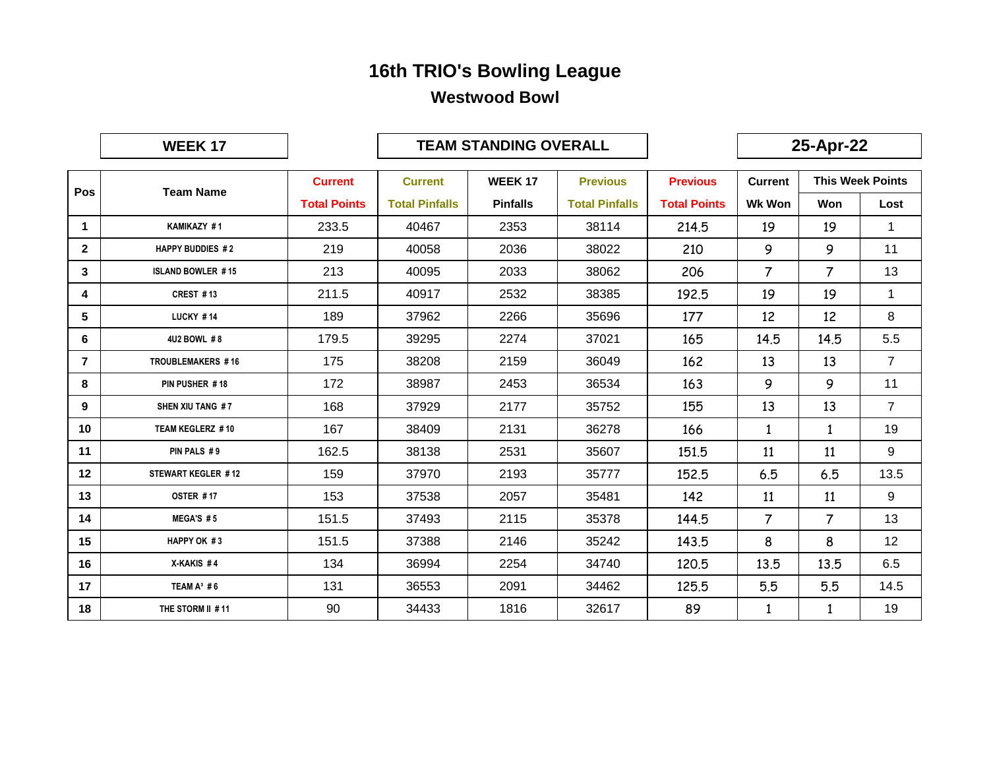|                | <b>WEEK17</b>            |                     |                       | <b>TEAM STANDING OVERALL</b> |                       |                     |                | 25-Apr-22 |                         |
|----------------|--------------------------|---------------------|-----------------------|------------------------------|-----------------------|---------------------|----------------|-----------|-------------------------|
|                |                          | <b>Current</b>      | <b>Current</b>        | <b>WEEK17</b>                | <b>Previous</b>       | <b>Previous</b>     | <b>Current</b> |           | <b>This Week Points</b> |
| Pos            | <b>Team Name</b>         | <b>Total Points</b> | <b>Total Pinfalls</b> | <b>Pinfalls</b>              | <b>Total Pinfalls</b> | <b>Total Points</b> | <b>Wk Won</b>  | Won       | Lost                    |
| $\mathbf{1}$   | KAMIKAZY #1              | 233.5               | 40467                 | 2353                         | 38114                 | 214.5               | 19             | 19        | $\mathbf 1$             |
| $\overline{2}$ | <b>HAPPY BUDDIES #2</b>  | 219                 | 40058                 | 2036                         | 38022                 | 210                 | 9              | 9         | 11                      |
| 3              | <b>ISLAND BOWLER #15</b> | 213                 | 40095                 | 2033                         | 38062                 | 206                 | $\overline{7}$ | 7         | 13                      |
| 4              | CREST #13                | 211.5               | 40917                 | 2532                         | 38385                 | 192.5               | 19             | 19        | 1                       |
| 5              | <b>LUCKY #14</b>         | 189                 | 37962                 | 2266                         | 35696                 | 177                 | 12             | 12        | 8                       |
| 6              | 4U2 BOWL #8              | 179.5               | 39295                 | 2274                         | 37021                 | 165                 | 14.5           | 14.5      | 5.5                     |
| $\overline{7}$ | TROUBLEMAKERS #16        | 175                 | 38208                 | 2159                         | 36049                 | 162                 | 13             | 13        | $\overline{7}$          |
| 8              | PIN PUSHER #18           | 172                 | 38987                 | 2453                         | 36534                 | 163                 | 9              | 9         | 11                      |
| 9              | SHEN XIU TANG #7         | 168                 | 37929                 | 2177                         | 35752                 | 155                 | 13             | 13        | $\overline{7}$          |
| 10             | TEAM KEGLERZ #10         | 167                 | 38409                 | 2131                         | 36278                 | 166                 | 1              | 1         | 19                      |
| 11             | PIN PALS #9              | 162.5               | 38138                 | 2531                         | 35607                 | 151.5               | 11             | 11        | 9                       |
| 12             | STEWART KEGLER #12       | 159                 | 37970                 | 2193                         | 35777                 | 152.5               | 6.5            | 6.5       | 13.5                    |
| 13             | OSTER #17                | 153                 | 37538                 | 2057                         | 35481                 | 142                 | 11             | 11        | 9                       |
| 14             | MEGA'S #5                | 151.5               | 37493                 | 2115                         | 35378                 | 144.5               | 7              | 7         | 13                      |
| 15             | HAPPY OK #3              | 151.5               | 37388                 | 2146                         | 35242                 | 143.5               | 8              | 8         | 12                      |
| 16             | X-KAKIS#4                | 134                 | 36994                 | 2254                         | 34740                 | 120.5               | 13.5           | 13.5      | 6.5                     |
| 17             | TEAM $A^3$ #6            | 131                 | 36553                 | 2091                         | 34462                 | 125.5               | 5.5            | 5.5       | 14.5                    |
| 18             | THE STORM II #11         | 90                  | 34433                 | 1816                         | 32617                 | 89                  | $\mathbf{1}$   | 1         | 19                      |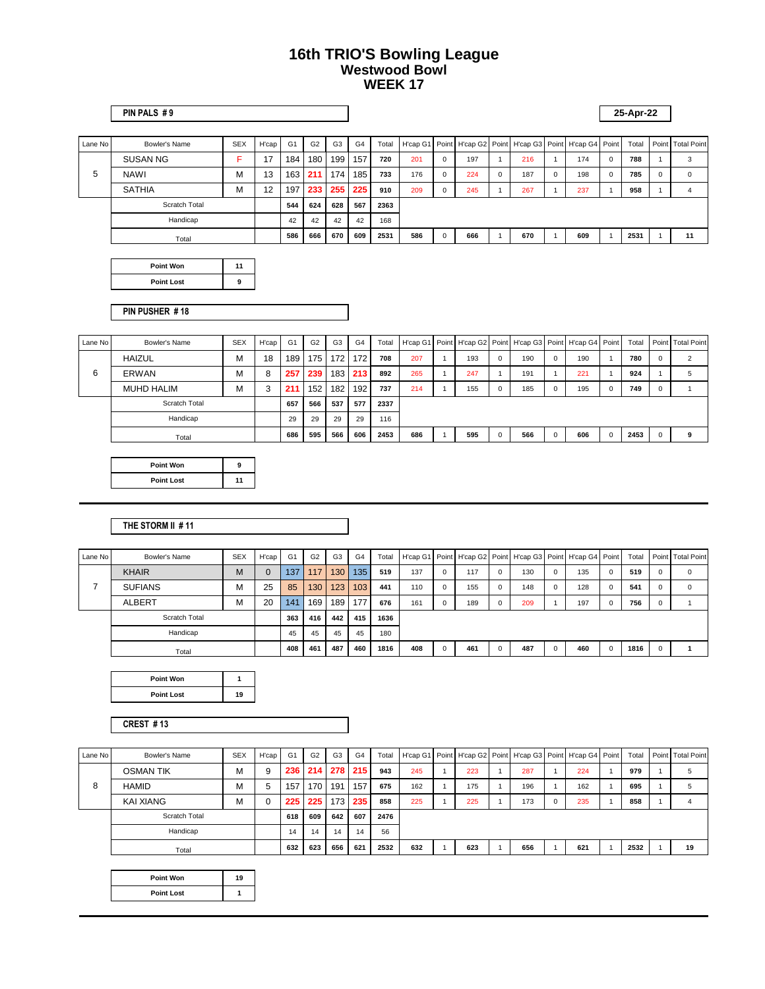|         | PIN PALS #9     |            |       |                |                |                |     |       |          |             |     |             |                                                    |     |          | 25-Apr-22 |          |                   |
|---------|-----------------|------------|-------|----------------|----------------|----------------|-----|-------|----------|-------------|-----|-------------|----------------------------------------------------|-----|----------|-----------|----------|-------------------|
| Lane No | Bowler's Name   | <b>SEX</b> | H'cap | G <sub>1</sub> | G <sub>2</sub> | G <sub>3</sub> | G4  | Total | H'cap G1 |             |     |             | Point H'cap G2 Point H'cap G3 Point H'cap G4 Point |     |          | Total     |          | Point Total Point |
|         | <b>SUSAN NG</b> | F          | 17    | 184            | 180            | 199            | 157 | 720   | 201      | $\Omega$    | 197 |             | 216                                                | 174 | $\Omega$ | 788       |          | 3                 |
| 5       | <b>NAWI</b>     | м          | 13    | 163            | 211            | 174            | 185 | 733   | 176      | $\Omega$    | 224 | $\mathbf 0$ | 187                                                | 198 | $\Omega$ | 785       | $\Omega$ | $\Omega$          |
|         | <b>SATHIA</b>   | M          | 12    | 197            | 233            | 255            | 225 | 910   | 209      | $\mathbf 0$ | 245 |             | 267                                                | 237 |          | 958       |          |                   |
|         | Scratch Total   |            |       | 544            | 624            | 628            | 567 | 2363  |          |             |     |             |                                                    |     |          |           |          |                   |
|         | Handicap        |            |       | 42             | 42             | 42             | 42  | 168   |          |             |     |             |                                                    |     |          |           |          |                   |
|         | Total           |            |       | 586            | 666            | 670            | 609 | 2531  | 586      | $\Omega$    | 666 |             | 670                                                | 609 |          | 2531      |          | 11                |
|         |                 |            |       |                |                |                |     |       |          |             |     |             |                                                    |     |          |           |          |                   |

| Point Won         | 11 |
|-------------------|----|
| <b>Point Lost</b> |    |

**PIN PUSHER # 18**

| Lane No | Bowler's Name     | <b>SEX</b> | H'cap | G <sub>1</sub> | G <sub>2</sub> | G <sub>3</sub> | G <sub>4</sub>   | Total |     |     |          |     |                | H'cap G1 Point H'cap G2 Point H'cap G3 Point H'cap G4 Point |   | Total |          | Point Total Point |
|---------|-------------------|------------|-------|----------------|----------------|----------------|------------------|-------|-----|-----|----------|-----|----------------|-------------------------------------------------------------|---|-------|----------|-------------------|
|         | <b>HAIZUL</b>     | М          | 18    | 189            | 175            | 172            | 172 <sub>1</sub> | 708   | 207 | 193 | $\Omega$ | 190 | $\mathbf{0}$   | 190                                                         |   | 780   | $\Omega$ | $\sim$            |
| 6       | <b>ERWAN</b>      | М          | 8     | 257            | 239            | 183            | 213              | 892   | 265 | 247 |          | 191 |                | 221                                                         |   | 924   |          | 5                 |
|         | <b>MUHD HALIM</b> | М          | 3     | 211            | 152            | 182            | 192 <sub>1</sub> | 737   | 214 | 155 | $\Omega$ | 185 | $\overline{0}$ | 195                                                         | n | 749   |          |                   |
|         | Scratch Total     |            |       | 657            | 566            | 537            | 577              | 2337  |     |     |          |     |                |                                                             |   |       |          |                   |
|         | Handicap          |            |       | 29             | 29             | 29             | 29               | 116   |     |     |          |     |                |                                                             |   |       |          |                   |
|         | Total             |            |       | 686            | 595            | 566            | 606              | 2453  | 686 | 595 | $\Omega$ | 566 |                | 606                                                         |   | 2453  |          | 9                 |

| Point Won         |    |
|-------------------|----|
| <b>Point Lost</b> | 11 |

#### **THE STORM II # 11**

| Lane No | Bowler's Name  | <b>SEX</b> | H'cap       | G <sub>1</sub> | G <sub>2</sub> | G <sub>3</sub> | G <sub>4</sub> | Total |     |          |     |              |     |             | H'cap G1   Point   H'cap G2   Point   H'cap G3   Point   H'cap G4   Point |          | Total |          | Point Total Point |
|---------|----------------|------------|-------------|----------------|----------------|----------------|----------------|-------|-----|----------|-----|--------------|-----|-------------|---------------------------------------------------------------------------|----------|-------|----------|-------------------|
|         | <b>KHAIR</b>   | M          | $\mathbf 0$ | 137            | 117            | 130            | 135            | 519   | 137 | $\Omega$ | 117 | $\Omega$     | 130 | $\mathbf 0$ | 135                                                                       | $\Omega$ | 519   | 0        | $\Omega$          |
|         | <b>SUFIANS</b> | м          | 25          | 85             | 130            | 123            | 103            | 441   | 110 | $\Omega$ | 155 | $\mathbf{0}$ | 148 | $\mathbf 0$ | 128                                                                       | $\Omega$ | 541   | 0        | $\Omega$          |
|         | <b>ALBERT</b>  | M          | 20          | 141            | 169            | 189            | 177            | 676   | 161 | $\Omega$ | 189 | $\Omega$     | 209 |             | 197                                                                       | $\Omega$ | 756   | $\Omega$ |                   |
|         | Scratch Total  |            |             | 363            | 416            | 442            | 415            | 1636  |     |          |     |              |     |             |                                                                           |          |       |          |                   |
|         | Handicap       |            |             | 45             | 45             | 45             | 45             | 180   |     |          |     |              |     |             |                                                                           |          |       |          |                   |
|         | Total          |            |             | 408            | 461            | 487            | 460            | 1816  | 408 | $\Omega$ | 461 | $\Omega$     | 487 | $\mathbf 0$ | 460                                                                       | $\Omega$ | 1816  | $\Omega$ |                   |

| <b>Point Won</b>  |    |
|-------------------|----|
| <b>Point Lost</b> | 19 |

**CREST # 13**

| Lane No | Bowler's Name    | <b>SEX</b> | H'cap | G <sub>1</sub> | G <sub>2</sub> | G <sub>3</sub>   | G <sub>4</sub> | Total | H'cap G1   Point   H'cap G2   Point   H'cap G3   Point   H'cap G4   Point |     |     |   |     | Total | Point Total Point |
|---------|------------------|------------|-------|----------------|----------------|------------------|----------------|-------|---------------------------------------------------------------------------|-----|-----|---|-----|-------|-------------------|
|         | <b>OSMAN TIK</b> | М          | 9     | 236            | 214            | 278              | 215            | 943   | 245                                                                       | 223 | 287 |   | 224 | 979   | 5                 |
| 8       | <b>HAMID</b>     | М          | 5     | 157            | 170            | 191              | 157            | 675   | 162                                                                       | 175 | 196 |   | 162 | 695   | 5                 |
|         | <b>KAI XIANG</b> | м          | 0     | 225            | 225            | 173 <sub>1</sub> | 235            | 858   | 225                                                                       | 225 | 173 | 0 | 235 | 858   | 4                 |
|         | Scratch Total    |            |       | 618            | 609            | 642              | 607            | 2476  |                                                                           |     |     |   |     |       |                   |
|         | Handicap         |            |       | 14             | 14             | 14               | 14             | 56    |                                                                           |     |     |   |     |       |                   |
|         | Total            |            |       | 632            | 623            | 656              | 621            | 2532  | 632                                                                       | 623 | 656 |   | 621 | 2532  | 19                |

| Point Won         | 19 |
|-------------------|----|
| <b>Point Lost</b> |    |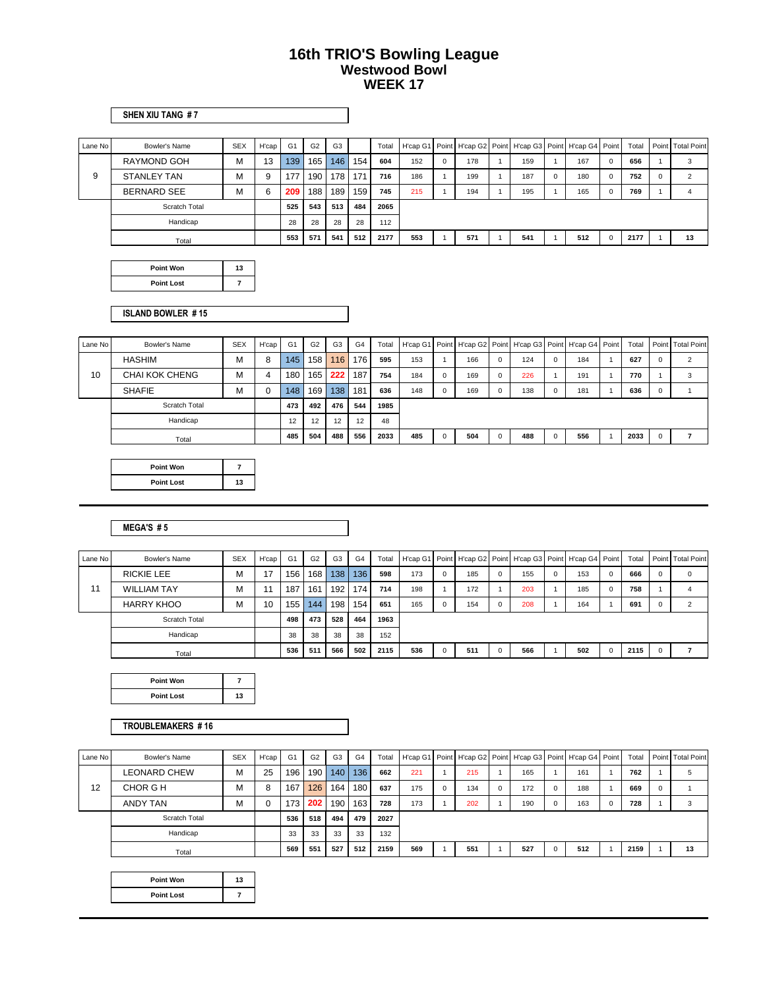#### **SHEN XIU TANG # 7**

| Lane No | Bowler's Name        | <b>SEX</b> | H'cap | G <sub>1</sub> | G <sub>2</sub> | G <sub>3</sub> |     | Total |     |          |     |     | H'cap G1   Point   H'cap G2   Point   H'cap G3   Point   H'cap G4   Point |          | Total |          | Point Total Point |
|---------|----------------------|------------|-------|----------------|----------------|----------------|-----|-------|-----|----------|-----|-----|---------------------------------------------------------------------------|----------|-------|----------|-------------------|
|         | <b>RAYMOND GOH</b>   | М          | 13    | 139            | 165            | 146            | 154 | 604   | 152 | $\Omega$ | 178 | 159 | 167                                                                       | $\Omega$ | 656   |          | 3                 |
| 9       | STANLEY TAN          | м          | 9     | 177            | 190            | 178            | 171 | 716   | 186 |          | 199 | 187 | 180                                                                       | $\Omega$ | 752   | $\Omega$ | $\mathcal{D}$     |
|         | <b>BERNARD SEE</b>   | М          | 6     | 209            | 188            | 189            | 159 | 745   | 215 |          | 194 | 195 | 165                                                                       | $\Omega$ | 769   |          | 4                 |
|         | <b>Scratch Total</b> |            |       | 525            | 543            | 513            | 484 | 2065  |     |          |     |     |                                                                           |          |       |          |                   |
|         | Handicap             |            |       | 28             | 28             | 28             | 28  | 112   |     |          |     |     |                                                                           |          |       |          |                   |
|         | Total                |            |       | 553            | 571            | 541            | 512 | 2177  | 553 |          | 571 | 541 | 512                                                                       | $\Omega$ | 2177  |          | 13                |

| Point Won         | 13 |
|-------------------|----|
| <b>Point Lost</b> |    |

#### **ISLAND BOWLER # 15**

| Lane No | Bowler's Name  | <b>SEX</b> | H'cap | G1  | G <sub>2</sub> | G <sub>3</sub> | G <sub>4</sub> | Total | H'cap G1   Point   H'cap G2   Point   H'cap G3   Point   H'cap G4   Point |          |     |     |            |     | Total | Point Total Point |
|---------|----------------|------------|-------|-----|----------------|----------------|----------------|-------|---------------------------------------------------------------------------|----------|-----|-----|------------|-----|-------|-------------------|
|         | <b>HASHIM</b>  | м          | 8     | 145 | 158            | 116            | 176            | 595   | 153                                                                       |          | 166 | 124 | $^{\circ}$ | 184 | 627   | $\Omega$          |
| 10      | CHAI KOK CHENG | М          | 4     | 180 | 165            | 222            | 187            | 754   | 184                                                                       | $\Omega$ | 169 | 226 |            | 191 | 770   | $\sim$            |
|         | <b>SHAFIE</b>  | М          | 0     | 148 | 169            | 138            | 181            | 636   | 148                                                                       | $\Omega$ | 169 | 138 | $^{\circ}$ | 181 | 636   |                   |
|         | Scratch Total  |            |       | 473 | 492            | 476            | 544            | 1985  |                                                                           |          |     |     |            |     |       |                   |
|         | Handicap       |            |       | 12  | 12             | 12             | 12             | 48    |                                                                           |          |     |     |            |     |       |                   |
|         | Total          |            |       | 485 | 504            | 488            | 556            | 2033  | 485                                                                       | $\Omega$ | 504 | 488 | $\Omega$   | 556 | 2033  |                   |

| Point Won         |    |
|-------------------|----|
| <b>Point Lost</b> | 13 |

#### **MEGA'S # 5**

| Lane No | Bowler's Name      | <b>SEX</b> | H'cap | G <sub>1</sub> | G <sub>2</sub> | G <sub>3</sub> | G <sub>4</sub>   | Total |     | H'cap G1   Point   H'cap G2   Point   H'cap G3   Point   H'cap G4   Point |             |     |     |          | Total |          | Point Total Point |
|---------|--------------------|------------|-------|----------------|----------------|----------------|------------------|-------|-----|---------------------------------------------------------------------------|-------------|-----|-----|----------|-------|----------|-------------------|
|         | <b>RICKIE LEE</b>  | м          | 17    | 156            | 168            | 138            | 136 <sup>°</sup> | 598   | 173 | 185                                                                       | $\mathbf 0$ | 155 | 153 | $\Omega$ | 666   | $\Omega$ | 0                 |
| 11      | <b>WILLIAM TAY</b> | м          | 11    | 187            | 161            | 192            | 174              | 714   | 198 | 172                                                                       |             | 203 | 185 | $\Omega$ | 758   |          | 4                 |
|         | <b>HARRY KHOO</b>  | м          | 10    | 155            | 144            | 198            | 154              | 651   | 165 | 154                                                                       | $\Omega$    | 208 | 164 |          | 691   | $\Omega$ | $\sim$            |
|         | Scratch Total      |            |       | 498            | 473            | 528            | 464              | 1963  |     |                                                                           |             |     |     |          |       |          |                   |
|         | Handicap           |            |       | 38             | 38             | 38             | 38               | 152   |     |                                                                           |             |     |     |          |       |          |                   |
|         | Total              |            |       | 536            | 511            | 566            | 502              | 2115  | 536 | 511                                                                       | $\Omega$    | 566 | 502 | $\Omega$ | 2115  | $\Omega$ |                   |

| <b>Point Won</b>  |    |
|-------------------|----|
| <b>Point Lost</b> | 13 |

#### **TROUBLEMAKERS # 16**

| Lane No | Bowler's Name | <b>SEX</b> | H'cap | G <sub>1</sub>   | G <sub>2</sub> | G <sub>3</sub> | G <sub>4</sub> | Total |     |          |     |          | H'cap G1   Point   H'cap G2   Point   H'cap G3   Point   H'cap G4   Point |             |     | Total |          | Point Total Point |
|---------|---------------|------------|-------|------------------|----------------|----------------|----------------|-------|-----|----------|-----|----------|---------------------------------------------------------------------------|-------------|-----|-------|----------|-------------------|
|         | LEONARD CHEW  | м          | 25    | 196              | 190            | 140            | 136            | 662   | 221 |          | 215 |          | 165                                                                       |             | 161 | 762   |          | 5                 |
| 12      | CHOR G H      | м          | 8     | 167              | 126            | 164            | 180            | 637   | 175 | $\Omega$ | 134 | $\Omega$ | 172                                                                       | $\mathbf 0$ | 188 | 669   | $\Omega$ |                   |
|         | ANDY TAN      | м          |       | 173 <sub>1</sub> | 202            | 190            | 163            | 728   | 173 |          | 202 |          | 190                                                                       | $\mathbf 0$ | 163 | 728   |          | 3                 |
|         | Scratch Total |            |       | 536              | 518            | 494            | 479            | 2027  |     |          |     |          |                                                                           |             |     |       |          |                   |
|         | Handicap      |            |       | 33               | 33             | 33             | 33             | 132   |     |          |     |          |                                                                           |             |     |       |          |                   |
|         | Total         |            |       | 569              | 551            | 527            | 512            | 2159  | 569 |          | 551 |          | 527                                                                       | $\mathbf 0$ | 512 | 2159  |          | 13                |

| Point Won         | 13 |
|-------------------|----|
| <b>Point Lost</b> |    |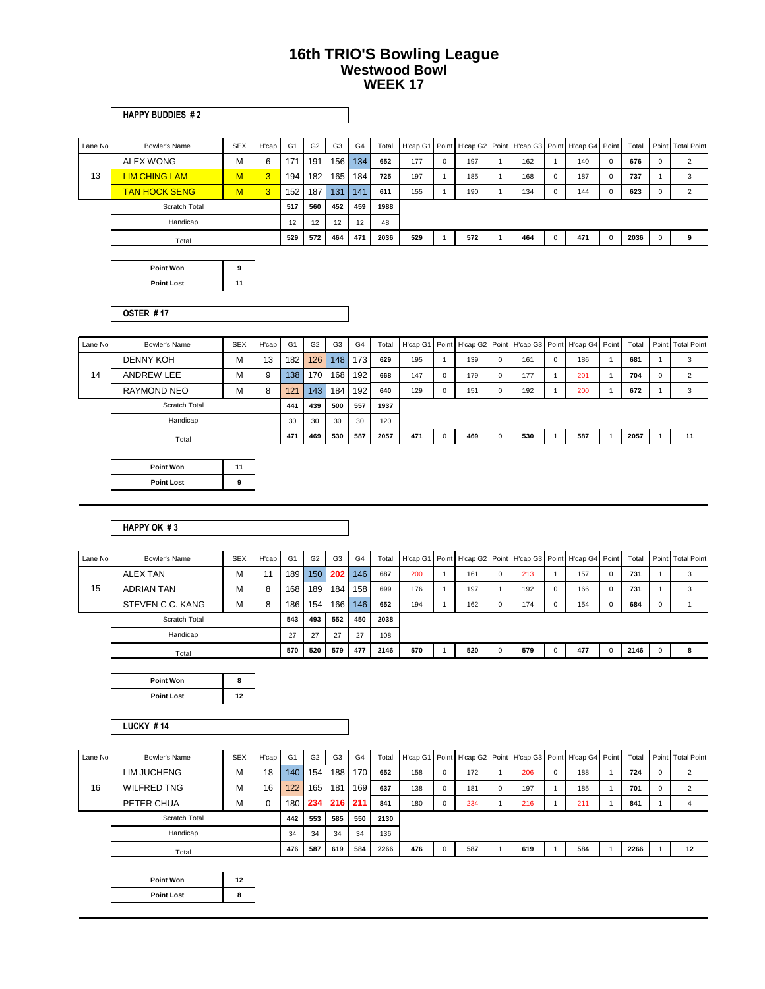#### **HAPPY BUDDIES # 2**

| Lane No | Bowler's Name        | <b>SEX</b> | H'cap | G <sub>1</sub> | G <sub>2</sub> | G <sub>3</sub> | G <sub>4</sub> | Total |     |          |     | H'cap G1   Point   H'cap G2   Point   H'cap G3   Point   H'cap G4   Point |             |     |   | Total | Point Total Point |
|---------|----------------------|------------|-------|----------------|----------------|----------------|----------------|-------|-----|----------|-----|---------------------------------------------------------------------------|-------------|-----|---|-------|-------------------|
|         | <b>ALEX WONG</b>     | м          | 6     | 171            | 191            | 156            | 134            | 652   | 177 | $\Omega$ | 197 | 162                                                                       |             | 140 | 0 | 676   | ◠                 |
| 13      | LIM CHING LAM        | M          | 3     | 194            | 182            | 165            | 184            | 725   | 197 |          | 185 | 168                                                                       | $\Omega$    | 187 |   | 737   | 3                 |
|         | <b>TAN HOCK SENG</b> | M          | 3     | 152            | 187            | 131            | 141            | 611   | 155 |          | 190 | 134                                                                       | $^{\circ}$  | 144 |   | 623   | $\sim$            |
|         | <b>Scratch Total</b> |            |       | 517            | 560            | 452            | 459            | 1988  |     |          |     |                                                                           |             |     |   |       |                   |
|         | Handicap             |            |       | 12             | 12             | 12             | 12             | 48    |     |          |     |                                                                           |             |     |   |       |                   |
|         | Total                |            |       | 529            | 572            | 464            | 471            | 2036  | 529 |          | 572 | 464                                                                       | $\mathbf 0$ | 471 |   | 2036  | 9                 |

| Point Won         |    |
|-------------------|----|
| <b>Point Lost</b> | 11 |

**OSTER # 17**

| Lane No | Bowler's Name    | <b>SEX</b> | H'cap | G <sub>1</sub> | G <sub>2</sub> | G <sub>3</sub> | G <sub>4</sub>   | Total |     |          |     |   |     |          | H'cap G1   Point   H'cap G2   Point   H'cap G3   Point   H'cap G4   Point | Total |          | Point   Total Point |
|---------|------------------|------------|-------|----------------|----------------|----------------|------------------|-------|-----|----------|-----|---|-----|----------|---------------------------------------------------------------------------|-------|----------|---------------------|
|         | <b>DENNY KOH</b> | м          | 13    | 182            | 126            | 148            | 173 <sub>1</sub> | 629   | 195 |          | 139 | 0 | 161 | $\Omega$ | 186                                                                       | 681   |          | 3                   |
| 14      | ANDREW LEE       | M          | 9     | 138            | 170            | 168            | 192 <sub>1</sub> | 668   | 147 | 0        | 179 | 0 | 177 |          | 201                                                                       | 704   | $\Omega$ | $\Omega$            |
|         | RAYMOND NEO      | M          | 8     | 121            | 143            | 184            | 1921             | 640   | 129 | $\Omega$ | 151 | 0 | 192 |          | 200                                                                       | 672   |          | 3                   |
|         | Scratch Total    |            |       | 441            | 439            | 500            | 557              | 1937  |     |          |     |   |     |          |                                                                           |       |          |                     |
|         | Handicap         |            |       | 30             | 30             | 30             | 30               | 120   |     |          |     |   |     |          |                                                                           |       |          |                     |
|         | Total            |            |       | 471            | 469            | 530            | 587              | 2057  | 471 |          | 469 | 0 | 530 |          | 587                                                                       | 2057  |          | 11                  |

| Point Won         |  |
|-------------------|--|
| <b>Point Lost</b> |  |

#### **HAPPY OK # 3**

| Lane No | Bowler's Name     | <b>SEX</b> | H'cap | G <sub>1</sub> | G <sub>2</sub> | G <sub>3</sub> | G <sub>4</sub>   | Total |     |     |          |     | H'cap G1   Point   H'cap G2   Point   H'cap G3   Point   H'cap G4   Point |          | Total |          | Point Total Point |
|---------|-------------------|------------|-------|----------------|----------------|----------------|------------------|-------|-----|-----|----------|-----|---------------------------------------------------------------------------|----------|-------|----------|-------------------|
|         | <b>ALEX TAN</b>   | М          | 11    | 189            | 150            | 202            | 146              | 687   | 200 | 161 | $\Omega$ | 213 | 157                                                                       | $\Omega$ | 731   |          | 3                 |
| 15      | <b>ADRIAN TAN</b> | М          | 8     | 168            | 189            | 184            | 158 <sub>1</sub> | 699   | 176 | 197 |          | 192 | 166                                                                       | $\Omega$ | 731   |          | 3                 |
|         | STEVEN C.C. KANG  | м          | 8     | 186            | 154            | 166            | 146              | 652   | 194 | 162 | $\Omega$ | 174 | 154                                                                       | $\Omega$ | 684   | $\Omega$ |                   |
|         | Scratch Total     |            |       | 543            | 493            | 552            | 450              | 2038  |     |     |          |     |                                                                           |          |       |          |                   |
|         | Handicap          |            |       | 27             | 27             | 27             | 27               | 108   |     |     |          |     |                                                                           |          |       |          |                   |
|         | Total             |            |       | 570            | 520            | 579            | 477              | 2146  | 570 | 520 | $\Omega$ | 579 | 477                                                                       | $\Omega$ | 2146  | $\Omega$ | 8                 |

| Point Won         |    |
|-------------------|----|
| <b>Point Lost</b> | 12 |

**LUCKY # 14**

| Lane No | Bowler's Name      | <b>SEX</b> | H'cap | G <sub>1</sub> | G <sub>2</sub> | G <sub>3</sub> | G <sub>4</sub> |      |     |          |     |   |     |             | Total   H'cap G1   Point   H'cap G2   Point   H'cap G3   Point   H'cap G4   Point | Total | Point Total Point |
|---------|--------------------|------------|-------|----------------|----------------|----------------|----------------|------|-----|----------|-----|---|-----|-------------|-----------------------------------------------------------------------------------|-------|-------------------|
|         | <b>LIM JUCHENG</b> | м          | 18    | 140            | 154            | 188            | 170            | 652  | 158 |          | 172 |   | 206 | $\mathbf 0$ | 188                                                                               | 724   | $\overline{2}$    |
| 16      | <b>WILFRED TNG</b> | м          | 16    | 122            | 165            | 181            | 169            | 637  | 138 |          | 181 | 0 | 197 |             | 185                                                                               | 701   | $\overline{2}$    |
|         | PETER CHUA         | М          | 0     | 180            | 234            | 216            | 211            | 841  | 180 | $\Omega$ | 234 |   | 216 |             | 211                                                                               | 841   | 4                 |
|         | Scratch Total      |            |       | 442            | 553            | 585            | 550            | 2130 |     |          |     |   |     |             |                                                                                   |       |                   |
|         | Handicap           |            |       | 34             | 34             | 34             | 34             | 136  |     |          |     |   |     |             |                                                                                   |       |                   |
|         | Total              |            |       | 476            | 587            | 619            | 584            | 2266 | 476 |          | 587 |   | 619 |             | 584                                                                               | 2266  | 12                |

| Point Won         | 12 <sub>2</sub> |
|-------------------|-----------------|
| <b>Point Lost</b> | ឧ               |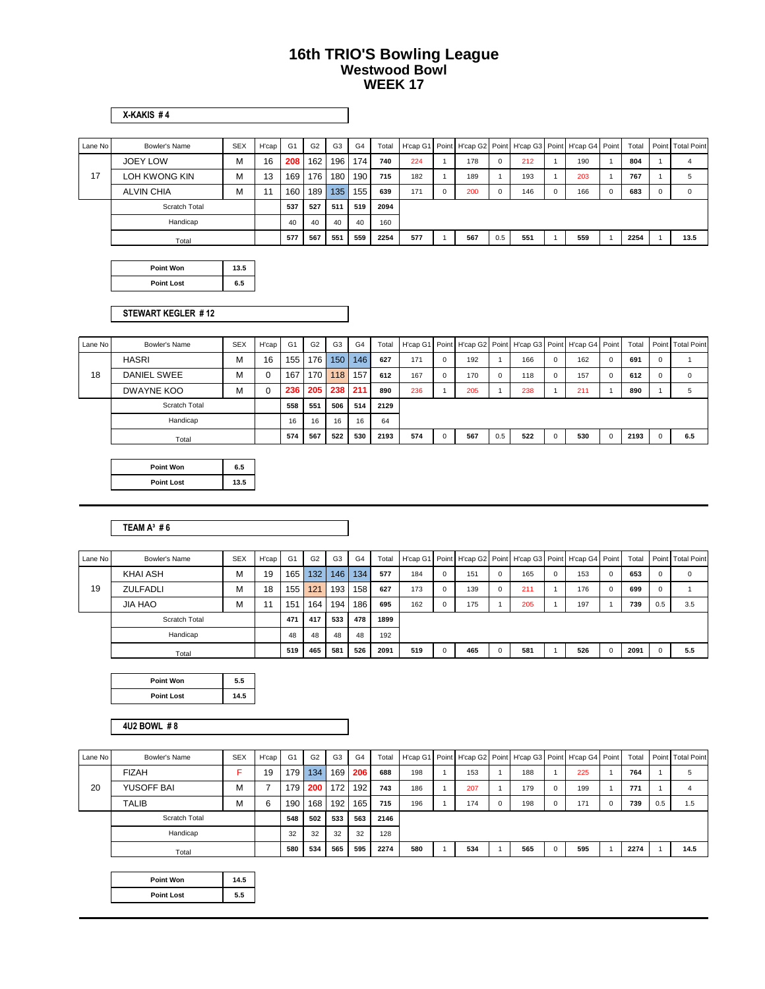**X-KAKIS # 4**

| Lane No | Bowler's Name     | <b>SEX</b> | H'cap | G <sub>1</sub>   | G <sub>2</sub> | G <sub>3</sub> | G <sub>4</sub> | Total | H'cap G1   Point   H'cap G2   Point   H'cap G3   Point   H'cap G4   Point |          |     |             |     |     |          | Total |          | Point Total Point |
|---------|-------------------|------------|-------|------------------|----------------|----------------|----------------|-------|---------------------------------------------------------------------------|----------|-----|-------------|-----|-----|----------|-------|----------|-------------------|
|         | <b>JOEY LOW</b>   | М          | 16    | 208              | 162            | 196            | 174            | 740   | 224                                                                       |          | 178 | $\mathbf 0$ | 212 | 190 |          | 804   |          | 4                 |
| 17      | LOH KWONG KIN     | M          | 13    | 169              | 176            | 180            | 190            | 715   | 182                                                                       |          | 189 |             | 193 | 203 |          | 767   |          | 5                 |
|         | <b>ALVIN CHIA</b> | M          | 11    | 160 <sub>1</sub> | 189            | 135            | 155            | 639   | 171                                                                       | $\Omega$ | 200 | $\Omega$    | 146 | 166 | $\Omega$ | 683   | $\Omega$ | $\Omega$          |
|         | Scratch Total     |            |       | 537              | 527            | 511            | 519            | 2094  |                                                                           |          |     |             |     |     |          |       |          |                   |
|         | Handicap          |            |       | 40               | 40             | 40             | 40             | 160   |                                                                           |          |     |             |     |     |          |       |          |                   |
|         | Total             |            |       | 577              | 567            | 551            | 559            | 2254  | 577                                                                       |          | 567 | 0.5         | 551 | 559 |          | 2254  |          | 13.5              |

| Point Won         | 13.5 |
|-------------------|------|
| <b>Point Lost</b> | ì.5  |

#### **STEWART KEGLER # 12**

| Lane No | Bowler's Name | <b>SEX</b> | H'cap | G <sub>1</sub> | G <sub>2</sub> | G <sub>3</sub> | G <sub>4</sub> | Total |     |          |     |          |     |             | H'cap G1   Point   H'cap G2   Point   H'cap G3   Point   H'cap G4   Point |          | Total | Point Total Point |
|---------|---------------|------------|-------|----------------|----------------|----------------|----------------|-------|-----|----------|-----|----------|-----|-------------|---------------------------------------------------------------------------|----------|-------|-------------------|
|         | <b>HASRI</b>  | м          | 16    | 155            | 176            | 150            | 146            | 627   | 171 | $\Omega$ | 192 |          | 166 | $\mathbf 0$ | 162                                                                       | $\Omega$ | 691   |                   |
| 18      | DANIEL SWEE   | м          | 0     | 167            | 170            | 118            | 157            | 612   | 167 | $\Omega$ | 170 | $\Omega$ | 118 | $\Omega$    | 157                                                                       | $\Omega$ | 612   | $\Omega$          |
|         | DWAYNE KOO    | м          | 0     | 236            | 205            | 238            | 211            | 890   | 236 |          | 205 |          | 238 |             | 211                                                                       |          | 890   |                   |
|         | Scratch Total |            |       | 558            | 551            | 506            | 514            | 2129  |     |          |     |          |     |             |                                                                           |          |       |                   |
|         | Handicap      |            |       | 16             | 16             | 16             | 16             | 64    |     |          |     |          |     |             |                                                                           |          |       |                   |
|         | Total         |            |       | 574            | 567            | 522            | 530            | 2193  | 574 |          | 567 | 0.5      | 522 | $\Omega$    | 530                                                                       | $\Omega$ | 2193  | 6.5               |

| <b>Point Won</b>  | 6.5  |
|-------------------|------|
| <b>Point Lost</b> | 13.5 |

#### **TEAM A³ # 6**

| Lane No | Bowler's Name   | <b>SEX</b> | H'cap | G <sub>1</sub> | G <sub>2</sub>   | G <sub>3</sub> | G <sub>4</sub> | Total |     |          | H'cap G1   Point   H'cap G2   Point   H'cap G3   Point   H'cap G4   Point |             |     |     |             | Total |              | Point Total Point |
|---------|-----------------|------------|-------|----------------|------------------|----------------|----------------|-------|-----|----------|---------------------------------------------------------------------------|-------------|-----|-----|-------------|-------|--------------|-------------------|
|         | KHAI ASH        | М          | 19    | 165            | 132 <sub>1</sub> | 146            | 134            | 577   | 184 | $\Omega$ | 151                                                                       | $\mathbf 0$ | 165 | 153 | $\mathbf 0$ | 653   | $\mathbf{0}$ | 0                 |
| 19      | <b>ZULFADLI</b> | М          | 18    | 155            | 121              | 193            | 158            | 627   | 173 |          | 139                                                                       | $\mathbf 0$ | 211 | 176 | $\Omega$    | 699   | $\mathbf{0}$ |                   |
|         | JIA HAO         | М          |       | 151            | 164              | 194            | 186            | 695   | 162 | $\Omega$ | 175                                                                       |             | 205 | 197 |             | 739   | 0.5          | 3.5               |
|         | Scratch Total   |            |       | 471            | 417              | 533            | 478            | 1899  |     |          |                                                                           |             |     |     |             |       |              |                   |
|         | Handicap        |            |       | 48             | 48               | 48             | 48             | 192   |     |          |                                                                           |             |     |     |             |       |              |                   |
|         | Total           |            |       | 519            | 465              | 581            | 526            | 2091  | 519 |          | 465                                                                       | $\Omega$    | 581 | 526 | $\Omega$    | 2091  | $\Omega$     | 5.5               |

| Point Won         | 5.5  |
|-------------------|------|
| <b>Point Lost</b> | 14.5 |

**4U2 BOWL # 8**

| Lane No | Bowler's Name | <b>SEX</b> | H'cap | G <sub>1</sub>   | G <sub>2</sub> | G <sub>3</sub> | G <sub>4</sub> | Total |     |     |              | H'cap G1   Point   H'cap G2   Point   H'cap G3   Point   H'cap G4   Point |             |     |          | Total |     | Point Total Point |
|---------|---------------|------------|-------|------------------|----------------|----------------|----------------|-------|-----|-----|--------------|---------------------------------------------------------------------------|-------------|-----|----------|-------|-----|-------------------|
|         | <b>FIZAH</b>  |            | 19    | 179 <sup>1</sup> | 134            | 169            | 206            | 688   | 198 | 153 |              | 188                                                                       |             | 225 |          | 764   |     | 5                 |
| 20      | YUSOFF BAI    | М          | ⇁     | 179              | 200            | 172            | 192.           | 743   | 186 | 207 |              | 179                                                                       | $\mathbf 0$ | 199 |          | 771   |     | д                 |
|         | <b>TALIB</b>  | М          | 6     | 190              | 168            | 192            | 165            | 715   | 196 | 174 | $\mathbf{0}$ | 198                                                                       | $\mathbf 0$ | 171 | $\Omega$ | 739   | 0.5 | 1.5               |
|         | Scratch Total |            |       | 548              | 502            | 533            | 563            | 2146  |     |     |              |                                                                           |             |     |          |       |     |                   |
|         | Handicap      |            |       | 32               | 32             | 32             | 32             | 128   |     |     |              |                                                                           |             |     |          |       |     |                   |
|         | Total         |            |       | 580              | 534            | 565            | 595            | 2274  | 580 | 534 |              | 565                                                                       | $\mathbf 0$ | 595 |          | 2274  |     | 14.5              |

| Point Won         | 14.5 |
|-------------------|------|
| <b>Point Lost</b> | 5.5  |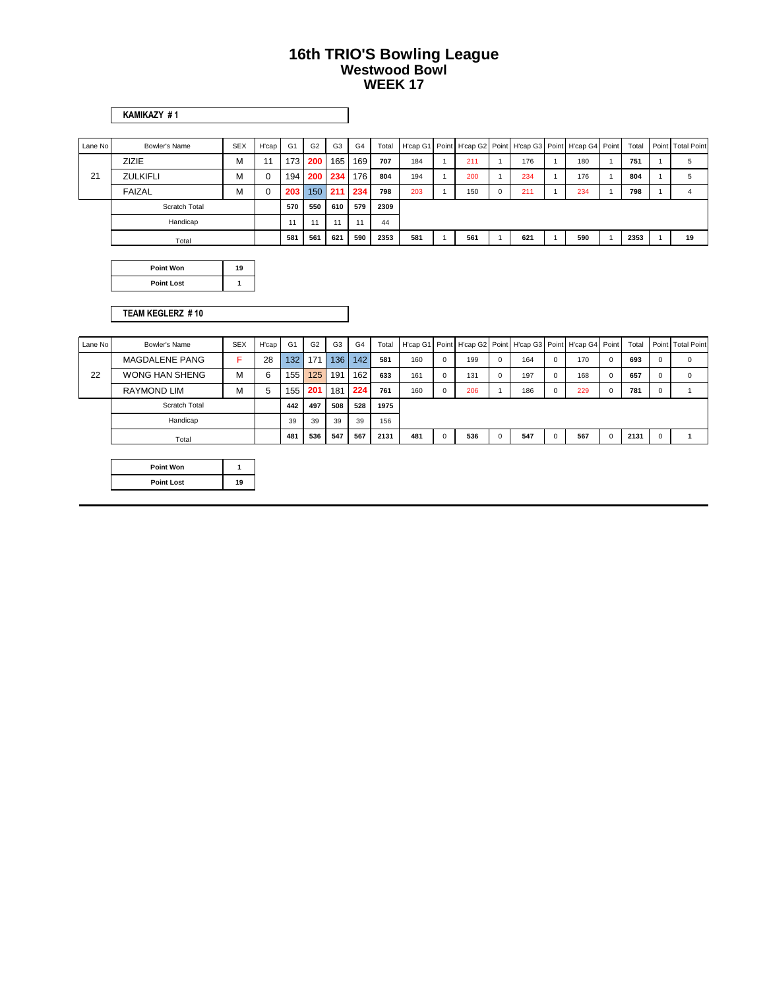| ШΜ<br>c<br>™A∗<br>н<br>ـ |  |
|--------------------------|--|

| Lane No | Bowler's Name        | <b>SEX</b> | H'cap    | G <sub>1</sub>   | G <sub>2</sub> | G <sub>3</sub> | G <sub>4</sub> | Total |     |     |             |     | H'cap G1   Point   H'cap G2   Point   H'cap G3   Point   H'cap G4   Point | Total | Point Total Point |
|---------|----------------------|------------|----------|------------------|----------------|----------------|----------------|-------|-----|-----|-------------|-----|---------------------------------------------------------------------------|-------|-------------------|
|         | <b>ZIZIE</b>         | м          | 11       | 173 <sup>1</sup> | 200            | 165            | 169            | 707   | 184 | 211 |             | 176 | 180                                                                       | 751   | 5                 |
| 21      | <b>ZULKIFLI</b>      | м          | $\Omega$ | 194              |                | 200 234        | 176            | 804   | 194 | 200 |             | 234 | 176                                                                       | 804   | 5                 |
|         | <b>FAIZAL</b>        | м          | 0        | 203              | 150            | 211            | 234            | 798   | 203 | 150 | $\mathbf 0$ | 211 | 234                                                                       | 798   | 4                 |
|         | <b>Scratch Total</b> |            |          | 570              | 550            | 610            | 579            | 2309  |     |     |             |     |                                                                           |       |                   |
|         | Handicap             |            |          | 11               | 11             |                | 11             | 44    |     |     |             |     |                                                                           |       |                   |
|         | Total                |            |          | 581              | 561            | 621            | 590            | 2353  | 581 | 561 |             | 621 | 590                                                                       | 2353  | 19                |

| Point Won         | 19 |
|-------------------|----|
| <b>Point Lost</b> |    |

#### **TEAM KEGLERZ # 10**

| Lane No | Bowler's Name         | <b>SEX</b> | H'cap | G <sub>1</sub> | G <sub>2</sub> | G <sub>3</sub> | G <sub>4</sub> | Total |     |     |          |     |             | H'cap G1 Point H'cap G2 Point H'cap G3 Point H'cap G4 Point | Total |          | Point Total Point |
|---------|-----------------------|------------|-------|----------------|----------------|----------------|----------------|-------|-----|-----|----------|-----|-------------|-------------------------------------------------------------|-------|----------|-------------------|
|         | MAGDALENE PANG        |            | 28    | 132            | 171            | 136            | 142            | 581   | 160 | 199 | $\Omega$ | 164 | $\Omega$    | 170                                                         | 693   |          | $\Omega$          |
| 22      | <b>WONG HAN SHENG</b> | М          | 6     | 155            | 125            | 191            | 162            | 633   | 161 | 131 | $\Omega$ | 197 | $\mathbf 0$ | 168                                                         | 657   |          | $\Omega$          |
|         | <b>RAYMOND LIM</b>    | м          | 5     | 155            | 201            | 181            | 224            | 761   | 160 | 206 |          | 186 | $\mathbf 0$ | 229                                                         | 781   | $\Omega$ |                   |
|         | Scratch Total         |            |       | 442            | 497            | 508            | 528            | 1975  |     |     |          |     |             |                                                             |       |          |                   |
|         | Handicap              |            |       | 39             | 39             | 39             | 39             | 156   |     |     |          |     |             |                                                             |       |          |                   |
|         | Total                 |            |       | 481            | 536            | 547            | 567            | 2131  | 481 | 536 | $\Omega$ | 547 | 0           | 567                                                         | 2131  |          |                   |

| Point Won         |    |
|-------------------|----|
| <b>Point Lost</b> | 19 |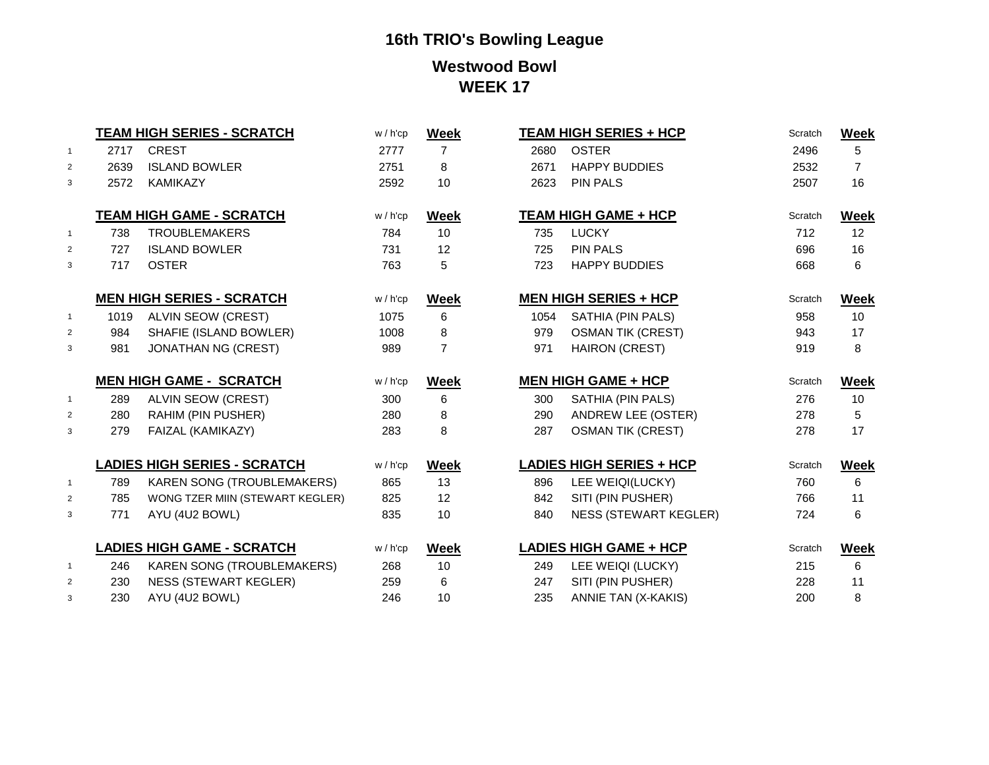|                     |            | TEAM HIGH SERIES - SCRATCH                        | w / h'cp    | <b>Week</b>    |            | <b>TEAM HIGH SERIES + HCP</b>                     | Scratch    | <b>Week</b>       |
|---------------------|------------|---------------------------------------------------|-------------|----------------|------------|---------------------------------------------------|------------|-------------------|
| $\mathbf{1}$        | 2717       | <b>CREST</b>                                      | 2777        | $\overline{7}$ | 2680       | <b>OSTER</b>                                      | 2496       | 5                 |
| $\overline{2}$      | 2639       | <b>ISLAND BOWLER</b>                              | 2751        | 8              | 2671       | <b>HAPPY BUDDIES</b>                              | 2532       | $\overline{7}$    |
| 3                   | 2572       | KAMIKAZY                                          | 2592        | 10             | 2623       | <b>PIN PALS</b>                                   | 2507       | 16                |
|                     |            | <b>TEAM HIGH GAME - SCRATCH</b>                   | $w / h'$ cp |                |            | <b>TEAM HIGH GAME + HCP</b>                       | Scratch    |                   |
|                     |            |                                                   |             | <b>Week</b>    |            |                                                   |            | Week              |
| $\overline{1}$      | 738        | <b>TROUBLEMAKERS</b>                              | 784         | 10             | 735        | <b>LUCKY</b>                                      | 712        | 12                |
| 2                   | 727        | <b>ISLAND BOWLER</b>                              | 731         | 12             | 725        | <b>PIN PALS</b>                                   | 696        | 16                |
| 3                   | 717        | <b>OSTER</b>                                      | 763         | 5              | 723        | <b>HAPPY BUDDIES</b>                              | 668        | 6                 |
|                     |            | <b>MEN HIGH SERIES - SCRATCH</b>                  | $w / h'$ cp | <b>Week</b>    |            | <b>MEN HIGH SERIES + HCP</b>                      | Scratch    | <b>Week</b>       |
| $\overline{1}$      | 1019       | <b>ALVIN SEOW (CREST)</b>                         | 1075        | 6              | 1054       | SATHIA (PIN PALS)                                 | 958        | 10                |
| 2                   | 984        | SHAFIE (ISLAND BOWLER)                            | 1008        | 8              | 979        | <b>OSMAN TIK (CREST)</b>                          | 943        | 17                |
| 3                   | 981        | <b>JONATHAN NG (CREST)</b>                        | 989         | $\overline{7}$ | 971        | <b>HAIRON (CREST)</b>                             | 919        | 8                 |
|                     |            |                                                   |             |                |            |                                                   |            |                   |
|                     |            | <b>MEN HIGH GAME - SCRATCH</b>                    | $w / h'$ cp | <b>Week</b>    |            | <b>MEN HIGH GAME + HCP</b>                        | Scratch    |                   |
| $\overline{1}$      | 289        | ALVIN SEOW (CREST)                                | 300         | 6              | 300        | SATHIA (PIN PALS)                                 | 276        | <b>Week</b><br>10 |
| $\overline{2}$      | 280        | RAHIM (PIN PUSHER)                                | 280         | 8              | 290        | <b>ANDREW LEE (OSTER)</b>                         | 278        | 5                 |
| 3                   | 279        | FAIZAL (KAMIKAZY)                                 | 283         | 8              | 287        | <b>OSMAN TIK (CREST)</b>                          | 278        | 17                |
|                     |            |                                                   |             |                |            |                                                   |            |                   |
|                     |            | <b>LADIES HIGH SERIES - SCRATCH</b>               | $w / h'$ cp | <b>Week</b>    |            | <b>LADIES HIGH SERIES + HCP</b>                   | Scratch    | <b>Week</b>       |
| $\overline{1}$      | 789        | <b>KAREN SONG (TROUBLEMAKERS)</b>                 | 865         | 13             | 896        | LEE WEIQI(LUCKY)                                  | 760        | 6                 |
| $\overline{2}$<br>3 | 785<br>771 | WONG TZER MIIN (STEWART KEGLER)<br>AYU (4U2 BOWL) | 825<br>835  | 12<br>10       | 842<br>840 | SITI (PIN PUSHER)<br><b>NESS (STEWART KEGLER)</b> | 766<br>724 | 11<br>6           |
|                     |            |                                                   |             |                |            |                                                   |            |                   |
|                     |            | <b>LADIES HIGH GAME - SCRATCH</b>                 | $w / h'$ cp | <b>Week</b>    |            | <b>LADIES HIGH GAME + HCP</b>                     | Scratch    | Week              |
| $\overline{1}$      | 246        | <b>KAREN SONG (TROUBLEMAKERS)</b>                 | 268         | 10             | 249        | LEE WEIQI (LUCKY)                                 | 215        | 6                 |
| $\overline{2}$      | 230        | <b>NESS (STEWART KEGLER)</b>                      | 259         | 6              | 247        | SITI (PIN PUSHER)                                 | 228        | 11                |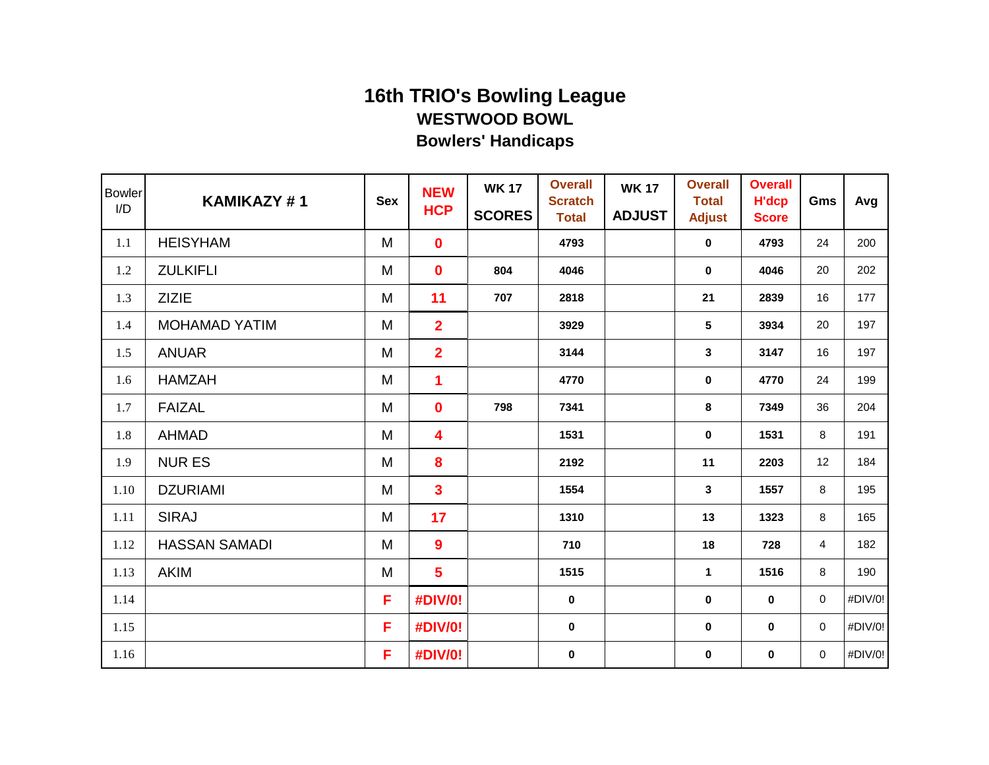| <b>Bowler</b><br>I/D | KAMIKAZY#1           | <b>Sex</b> | <b>NEW</b><br><b>HCP</b> | <b>WK 17</b><br><b>SCORES</b> | <b>Overall</b><br><b>Scratch</b><br><b>Total</b> | <b>WK 17</b><br><b>ADJUST</b> | <b>Overall</b><br><b>Total</b><br><b>Adjust</b> | <b>Overall</b><br><b>H'dcp</b><br><b>Score</b> | Gms         | Avg     |
|----------------------|----------------------|------------|--------------------------|-------------------------------|--------------------------------------------------|-------------------------------|-------------------------------------------------|------------------------------------------------|-------------|---------|
| 1.1                  | <b>HEISYHAM</b>      | M          | 0                        |                               | 4793                                             |                               | $\mathbf 0$                                     | 4793                                           | 24          | 200     |
| 1.2                  | <b>ZULKIFLI</b>      | M          | 0                        | 804                           | 4046                                             |                               | $\mathbf 0$                                     | 4046                                           | 20          | 202     |
| 1.3                  | <b>ZIZIE</b>         | M          | 11                       | 707                           | 2818                                             |                               | 21                                              | 2839                                           | 16          | 177     |
| 1.4                  | <b>MOHAMAD YATIM</b> | M          | $\overline{2}$           |                               | 3929                                             |                               | 5                                               | 3934                                           | 20          | 197     |
| 1.5                  | <b>ANUAR</b>         | M          | $\overline{2}$           |                               | 3144                                             |                               | $\mathbf{3}$                                    | 3147                                           | 16          | 197     |
| 1.6                  | <b>HAMZAH</b>        | M          | 1                        |                               | 4770                                             |                               | $\mathbf 0$                                     | 4770                                           | 24          | 199     |
| 1.7                  | <b>FAIZAL</b>        | M          | 0                        | 798                           | 7341                                             |                               | 8                                               | 7349                                           | 36          | 204     |
| 1.8                  | <b>AHMAD</b>         | M          | 4                        |                               | 1531                                             |                               | 0                                               | 1531                                           | 8           | 191     |
| 1.9                  | <b>NUR ES</b>        | M          | 8                        |                               | 2192                                             |                               | 11                                              | 2203                                           | 12          | 184     |
| 1.10                 | <b>DZURIAMI</b>      | M          | 3                        |                               | 1554                                             |                               | 3                                               | 1557                                           | 8           | 195     |
| 1.11                 | <b>SIRAJ</b>         | M          | 17                       |                               | 1310                                             |                               | 13                                              | 1323                                           | 8           | 165     |
| 1.12                 | <b>HASSAN SAMADI</b> | M          | 9                        |                               | 710                                              |                               | 18                                              | 728                                            | 4           | 182     |
| 1.13                 | <b>AKIM</b>          | M          | $5\phantom{1}$           |                               | 1515                                             |                               | $\mathbf{1}$                                    | 1516                                           | 8           | 190     |
| 1.14                 |                      | F          | #DIV/0!                  |                               | $\mathbf 0$                                      |                               | $\mathbf 0$                                     | 0                                              | $\mathbf 0$ | #DIV/0! |
| 1.15                 |                      | F          | #DIV/0!                  |                               | 0                                                |                               | 0                                               | 0                                              | $\mathbf 0$ | #DIV/0! |
| 1.16                 |                      | F          | #DIV/0!                  |                               | $\pmb{0}$                                        |                               | 0                                               | 0                                              | $\mathbf 0$ | #DIV/0! |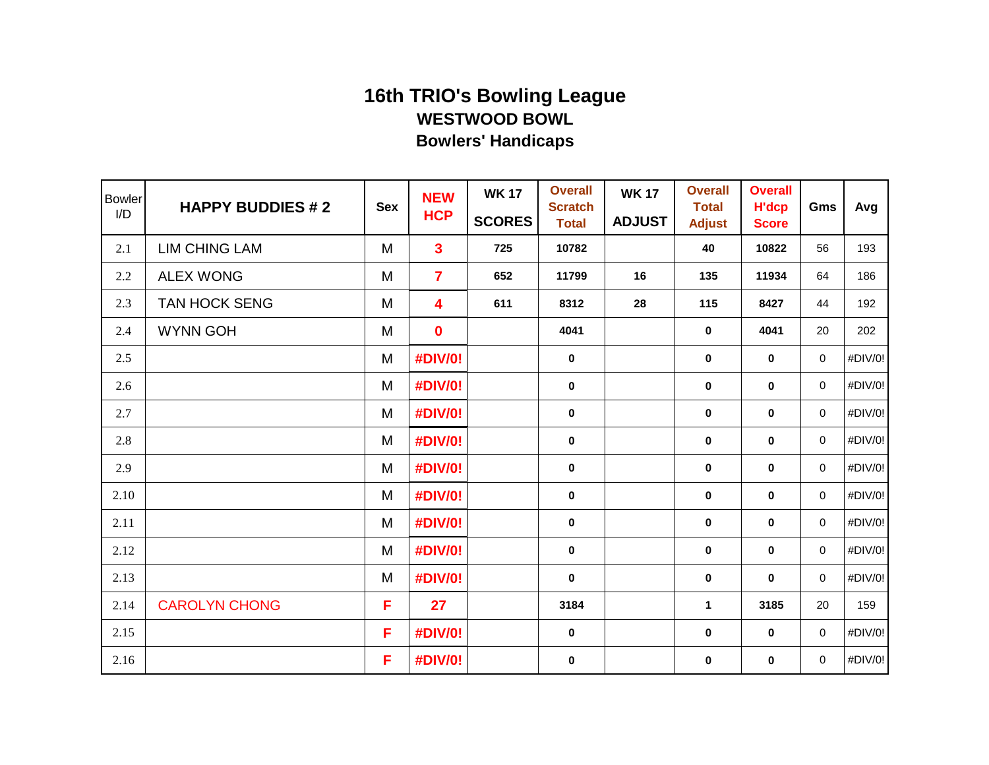| <b>Bowler</b><br>I/D | <b>HAPPY BUDDIES #2</b> | <b>Sex</b> | <b>NEW</b><br><b>HCP</b> | <b>WK 17</b><br><b>SCORES</b> | <b>Overall</b><br><b>Scratch</b><br><b>Total</b> | <b>WK 17</b><br><b>ADJUST</b> | <b>Overall</b><br><b>Total</b><br><b>Adjust</b> | <b>Overall</b><br><b>H'dcp</b><br><b>Score</b> | Gms         | Avg     |
|----------------------|-------------------------|------------|--------------------------|-------------------------------|--------------------------------------------------|-------------------------------|-------------------------------------------------|------------------------------------------------|-------------|---------|
| 2.1                  | <b>LIM CHING LAM</b>    | M          | $\mathbf{3}$             | 725                           | 10782                                            |                               | 40                                              | 10822                                          | 56          | 193     |
| $2.2\,$              | <b>ALEX WONG</b>        | M          | $\overline{7}$           | 652                           | 11799                                            | 16                            | 135                                             | 11934                                          | 64          | 186     |
| 2.3                  | TAN HOCK SENG           | M          | 4                        | 611                           | 8312                                             | 28                            | 115                                             | 8427                                           | 44          | 192     |
| 2.4                  | <b>WYNN GOH</b>         | M          | $\mathbf 0$              |                               | 4041                                             |                               | $\mathbf 0$                                     | 4041                                           | 20          | 202     |
| 2.5                  |                         | M          | #DIV/0!                  |                               | $\mathbf 0$                                      |                               | $\mathbf 0$                                     | $\pmb{0}$                                      | 0           | #DIV/0! |
| 2.6                  |                         | M          | #DIV/0!                  |                               | $\mathbf 0$                                      |                               | $\mathbf 0$                                     | $\mathbf 0$                                    | 0           | #DIV/0! |
| 2.7                  |                         | M          | #DIV/0!                  |                               | $\mathbf 0$                                      |                               | $\mathbf 0$                                     | $\mathbf 0$                                    | 0           | #DIV/0! |
| 2.8                  |                         | M          | #DIV/0!                  |                               | $\mathbf 0$                                      |                               | 0                                               | $\mathbf 0$                                    | $\mathbf 0$ | #DIV/0! |
| 2.9                  |                         | M          | #DIV/0!                  |                               | $\pmb{0}$                                        |                               | 0                                               | $\bf{0}$                                       | 0           | #DIV/0! |
| 2.10                 |                         | M          | #DIV/0!                  |                               | $\mathbf 0$                                      |                               | $\bf{0}$                                        | $\bf{0}$                                       | 0           | #DIV/0! |
| 2.11                 |                         | M          | #DIV/0!                  |                               | $\mathbf 0$                                      |                               | $\mathbf 0$                                     | $\mathbf 0$                                    | 0           | #DIV/0! |
| 2.12                 |                         | M          | <b>#DIV/0!</b>           |                               | $\mathbf 0$                                      |                               | $\mathbf 0$                                     | $\mathbf 0$                                    | $\mathbf 0$ | #DIV/0! |
| 2.13                 |                         | M          | #DIV/0!                  |                               | $\mathbf 0$                                      |                               | $\mathbf 0$                                     | $\mathbf 0$                                    | $\mathbf 0$ | #DIV/0! |
| 2.14                 | <b>CAROLYN CHONG</b>    | F          | 27                       |                               | 3184                                             |                               | 1                                               | 3185                                           | 20          | 159     |
| 2.15                 |                         | F          | #DIV/0!                  |                               | $\mathbf 0$                                      |                               | 0                                               | $\bf{0}$                                       | $\mathbf 0$ | #DIV/0! |
| 2.16                 |                         | F          | #DIV/0!                  |                               | $\pmb{0}$                                        |                               | 0                                               | $\bf{0}$                                       | 0           | #DIV/0! |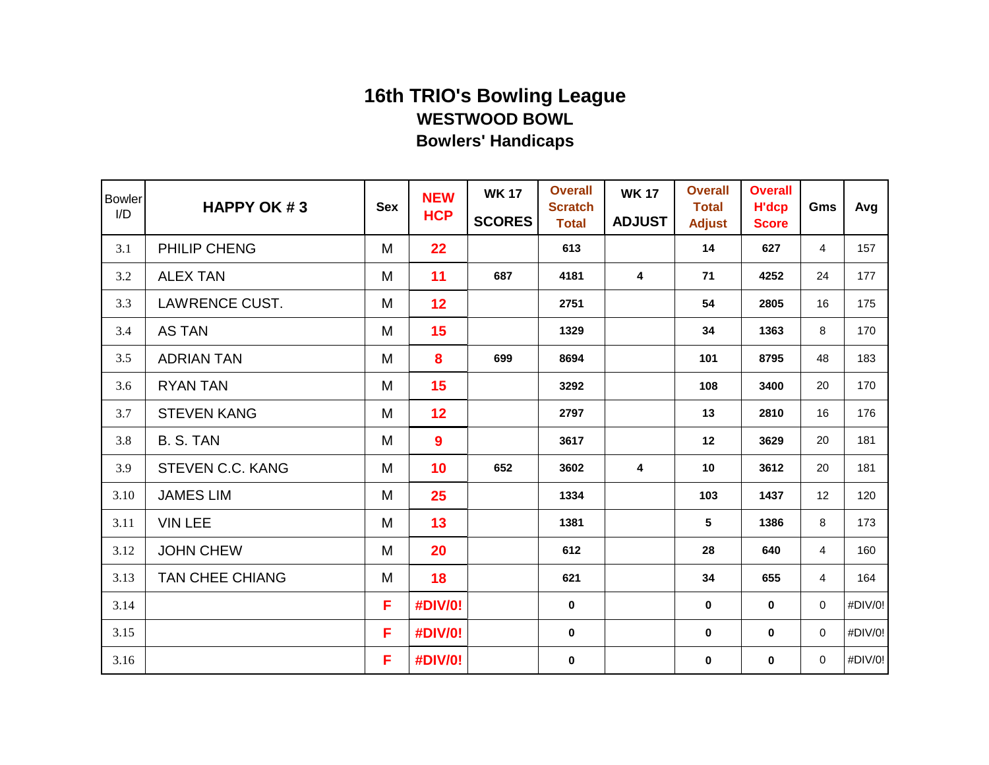| <b>Bowler</b><br>I/D | <b>HAPPY OK #3</b>     | <b>Sex</b> | <b>NEW</b><br><b>HCP</b> | <b>WK 17</b><br><b>SCORES</b> | <b>Overall</b><br><b>Scratch</b><br><b>Total</b> | <b>WK 17</b><br><b>ADJUST</b> | <b>Overall</b><br><b>Total</b><br><b>Adjust</b> | <b>Overall</b><br><b>H'dcp</b><br><b>Score</b> | Gms            | Avg     |
|----------------------|------------------------|------------|--------------------------|-------------------------------|--------------------------------------------------|-------------------------------|-------------------------------------------------|------------------------------------------------|----------------|---------|
| 3.1                  | PHILIP CHENG           | M          | 22                       |                               | 613                                              |                               | 14                                              | 627                                            | $\overline{4}$ | 157     |
| 3.2                  | <b>ALEX TAN</b>        | M          | 11                       | 687                           | 4181                                             | 4                             | 71                                              | 4252                                           | 24             | 177     |
| 3.3                  | LAWRENCE CUST.         | M          | 12                       |                               | 2751                                             |                               | 54                                              | 2805                                           | 16             | 175     |
| 3.4                  | <b>AS TAN</b>          | M          | 15                       |                               | 1329                                             |                               | 34                                              | 1363                                           | 8              | 170     |
| 3.5                  | <b>ADRIAN TAN</b>      | M          | 8                        | 699                           | 8694                                             |                               | 101                                             | 8795                                           | 48             | 183     |
| 3.6                  | <b>RYAN TAN</b>        | M          | 15                       |                               | 3292                                             |                               | 108                                             | 3400                                           | 20             | 170     |
| 3.7                  | <b>STEVEN KANG</b>     | M          | 12                       |                               | 2797                                             |                               | 13                                              | 2810                                           | 16             | 176     |
| 3.8                  | B. S. TAN              | M          | 9                        |                               | 3617                                             |                               | 12                                              | 3629                                           | 20             | 181     |
| 3.9                  | STEVEN C.C. KANG       | M          | 10                       | 652                           | 3602                                             | 4                             | 10                                              | 3612                                           | 20             | 181     |
| 3.10                 | <b>JAMES LIM</b>       | M          | 25                       |                               | 1334                                             |                               | 103                                             | 1437                                           | 12             | 120     |
| 3.11                 | <b>VIN LEE</b>         | M          | 13                       |                               | 1381                                             |                               | 5                                               | 1386                                           | 8              | 173     |
| 3.12                 | <b>JOHN CHEW</b>       | M          | 20                       |                               | 612                                              |                               | 28                                              | 640                                            | $\overline{4}$ | 160     |
| 3.13                 | <b>TAN CHEE CHIANG</b> | M          | 18                       |                               | 621                                              |                               | 34                                              | 655                                            | 4              | 164     |
| 3.14                 |                        | F          | #DIV/0!                  |                               | 0                                                |                               | $\mathbf 0$                                     | $\mathbf 0$                                    | 0              | #DIV/0! |
| 3.15                 |                        | F          | #DIV/0!                  |                               | 0                                                |                               | $\mathbf 0$                                     | 0                                              | 0              | #DIV/0! |
| 3.16                 |                        | F          | #DIV/0!                  |                               | $\bf{0}$                                         |                               | $\mathbf 0$                                     | 0                                              | $\mathbf 0$    | #DIV/0! |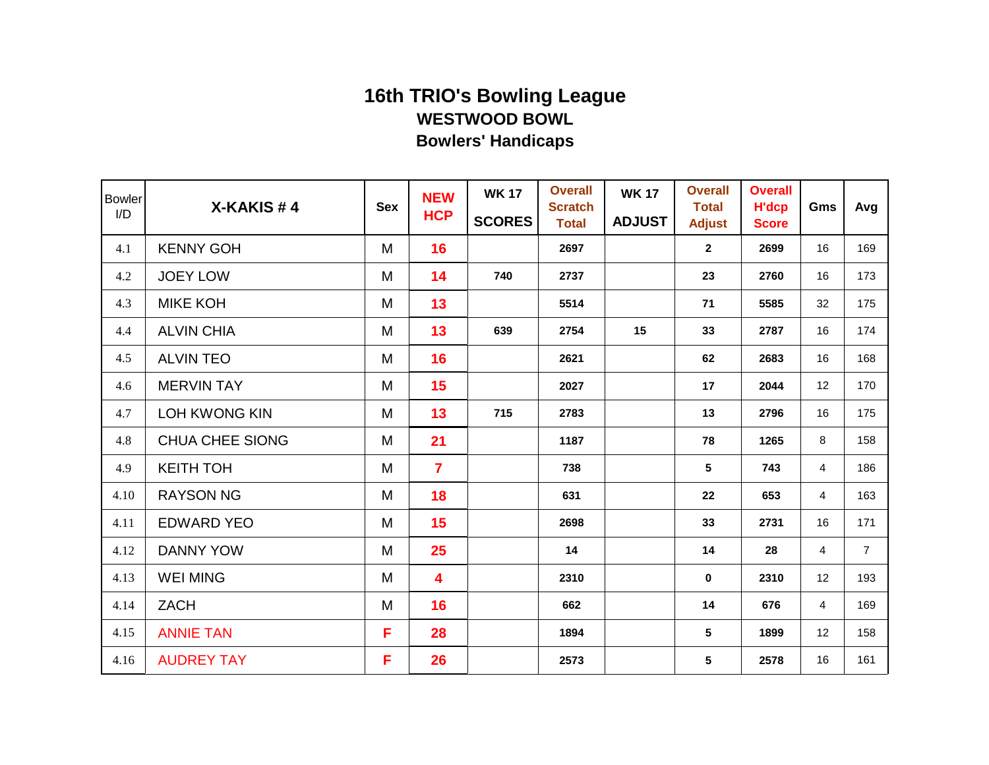| <b>Bowler</b><br>I/D | X-KAKIS#4              | <b>Sex</b> | <b>NEW</b><br><b>HCP</b> | <b>WK 17</b><br><b>SCORES</b> | <b>Overall</b><br><b>Scratch</b><br><b>Total</b> | <b>WK 17</b><br><b>ADJUST</b> | <b>Overall</b><br><b>Total</b><br><b>Adjust</b> | <b>Overall</b><br><b>H'dcp</b><br><b>Score</b> | Gms            | Avg            |
|----------------------|------------------------|------------|--------------------------|-------------------------------|--------------------------------------------------|-------------------------------|-------------------------------------------------|------------------------------------------------|----------------|----------------|
| 4.1                  | <b>KENNY GOH</b>       | M          | 16                       |                               | 2697                                             |                               | $\mathbf{2}$                                    | 2699                                           | 16             | 169            |
| 4.2                  | <b>JOEY LOW</b>        | M          | 14                       | 740                           | 2737                                             |                               | 23                                              | 2760                                           | 16             | 173            |
| 4.3                  | <b>MIKE KOH</b>        | M          | 13                       |                               | 5514                                             |                               | 71                                              | 5585                                           | 32             | 175            |
| 4.4                  | <b>ALVIN CHIA</b>      | M          | 13                       | 639                           | 2754                                             | 15                            | 33                                              | 2787                                           | 16             | 174            |
| 4.5                  | <b>ALVIN TEO</b>       | M          | 16                       |                               | 2621                                             |                               | 62                                              | 2683                                           | 16             | 168            |
| 4.6                  | <b>MERVIN TAY</b>      | M          | 15                       |                               | 2027                                             |                               | 17                                              | 2044                                           | 12             | 170            |
| 4.7                  | <b>LOH KWONG KIN</b>   | M          | 13                       | 715                           | 2783                                             |                               | 13                                              | 2796                                           | 16             | 175            |
| 4.8                  | <b>CHUA CHEE SIONG</b> | M          | 21                       |                               | 1187                                             |                               | 78                                              | 1265                                           | 8              | 158            |
| 4.9                  | <b>KEITH TOH</b>       | M          | $\overline{7}$           |                               | 738                                              |                               | 5                                               | 743                                            | 4              | 186            |
| 4.10                 | <b>RAYSON NG</b>       | M          | 18                       |                               | 631                                              |                               | 22                                              | 653                                            | $\overline{4}$ | 163            |
| 4.11                 | <b>EDWARD YEO</b>      | M          | 15                       |                               | 2698                                             |                               | 33                                              | 2731                                           | 16             | 171            |
| 4.12                 | <b>DANNY YOW</b>       | M          | 25                       |                               | 14                                               |                               | 14                                              | 28                                             | 4              | $\overline{7}$ |
| 4.13                 | <b>WEI MING</b>        | M          | 4                        |                               | 2310                                             |                               | $\mathbf{0}$                                    | 2310                                           | 12             | 193            |
| 4.14                 | <b>ZACH</b>            | M          | 16                       |                               | 662                                              |                               | 14                                              | 676                                            | 4              | 169            |
| 4.15                 | <b>ANNIE TAN</b>       | F          | 28                       |                               | 1894                                             |                               | 5                                               | 1899                                           | 12             | 158            |
| 4.16                 | <b>AUDREY TAY</b>      | F          | 26                       |                               | 2573                                             |                               | 5                                               | 2578                                           | 16             | 161            |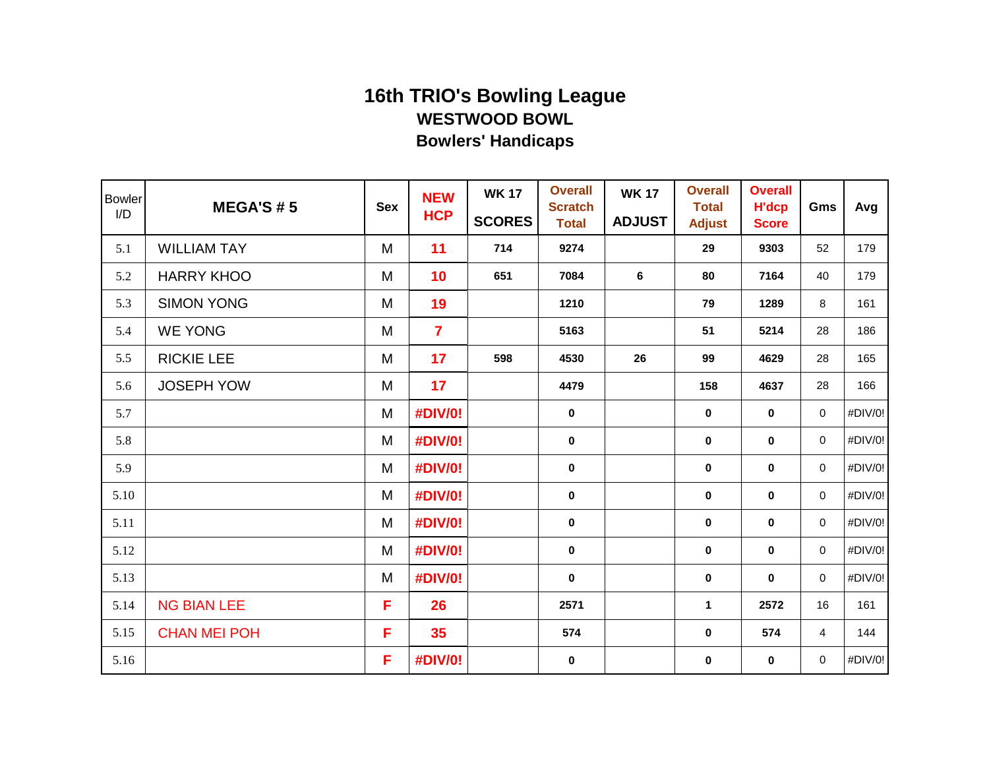| <b>Bowler</b><br>I/D | <b>MEGA'S #5</b>    | <b>Sex</b> | <b>NEW</b><br><b>HCP</b> | <b>WK 17</b><br><b>SCORES</b> | <b>Overall</b><br><b>Scratch</b><br><b>Total</b> | <b>WK 17</b><br><b>ADJUST</b> | <b>Overall</b><br><b>Total</b><br><b>Adjust</b> | <b>Overall</b><br><b>H'dcp</b><br><b>Score</b> | Gms         | Avg     |
|----------------------|---------------------|------------|--------------------------|-------------------------------|--------------------------------------------------|-------------------------------|-------------------------------------------------|------------------------------------------------|-------------|---------|
| 5.1                  | <b>WILLIAM TAY</b>  | M          | 11                       | 714                           | 9274                                             |                               | 29                                              | 9303                                           | 52          | 179     |
| 5.2                  | <b>HARRY KHOO</b>   | M          | 10                       | 651                           | 7084                                             | 6                             | 80                                              | 7164                                           | 40          | 179     |
| 5.3                  | <b>SIMON YONG</b>   | M          | 19                       |                               | 1210                                             |                               | 79                                              | 1289                                           | 8           | 161     |
| 5.4                  | <b>WE YONG</b>      | M          | $\overline{7}$           |                               | 5163                                             |                               | 51                                              | 5214                                           | 28          | 186     |
| 5.5                  | <b>RICKIE LEE</b>   | M          | 17                       | 598                           | 4530                                             | 26                            | 99                                              | 4629                                           | 28          | 165     |
| 5.6                  | <b>JOSEPH YOW</b>   | M          | 17                       |                               | 4479                                             |                               | 158                                             | 4637                                           | 28          | 166     |
| 5.7                  |                     | M          | #DIV/0!                  |                               | $\bf{0}$                                         |                               | 0                                               | $\mathbf 0$                                    | 0           | #DIV/0! |
| 5.8                  |                     | M          | #DIV/0!                  |                               | $\mathbf 0$                                      |                               | 0                                               | $\mathbf 0$                                    | 0           | #DIV/0! |
| 5.9                  |                     | M          | <b>#DIV/0!</b>           |                               | $\bf{0}$                                         |                               | $\mathbf 0$                                     | $\mathbf 0$                                    | 0           | #DIV/0! |
| 5.10                 |                     | M          | #DIV/0!                  |                               | $\pmb{0}$                                        |                               | $\bf{0}$                                        | $\mathbf 0$                                    | 0           | #DIV/0! |
| 5.11                 |                     | M          | #DIV/0!                  |                               | $\pmb{0}$                                        |                               | $\pmb{0}$                                       | $\pmb{0}$                                      | $\pmb{0}$   | #DIV/0! |
| 5.12                 |                     | M          | #DIV/0!                  |                               | $\mathbf 0$                                      |                               | $\mathbf 0$                                     | $\mathbf 0$                                    | $\mathbf 0$ | #DIV/0! |
| 5.13                 |                     | M          | <b>#DIV/0!</b>           |                               | $\mathbf 0$                                      |                               | $\mathbf 0$                                     | $\mathbf 0$                                    | 0           | #DIV/0! |
| 5.14                 | <b>NG BIAN LEE</b>  | F          | 26                       |                               | 2571                                             |                               | 1                                               | 2572                                           | 16          | 161     |
| 5.15                 | <b>CHAN MEI POH</b> | F          | 35                       |                               | 574                                              |                               | 0                                               | 574                                            | 4           | 144     |
| 5.16                 |                     | F          | #DIV/0!                  |                               | $\bf{0}$                                         |                               | 0                                               | $\bf{0}$                                       | 0           | #DIV/0! |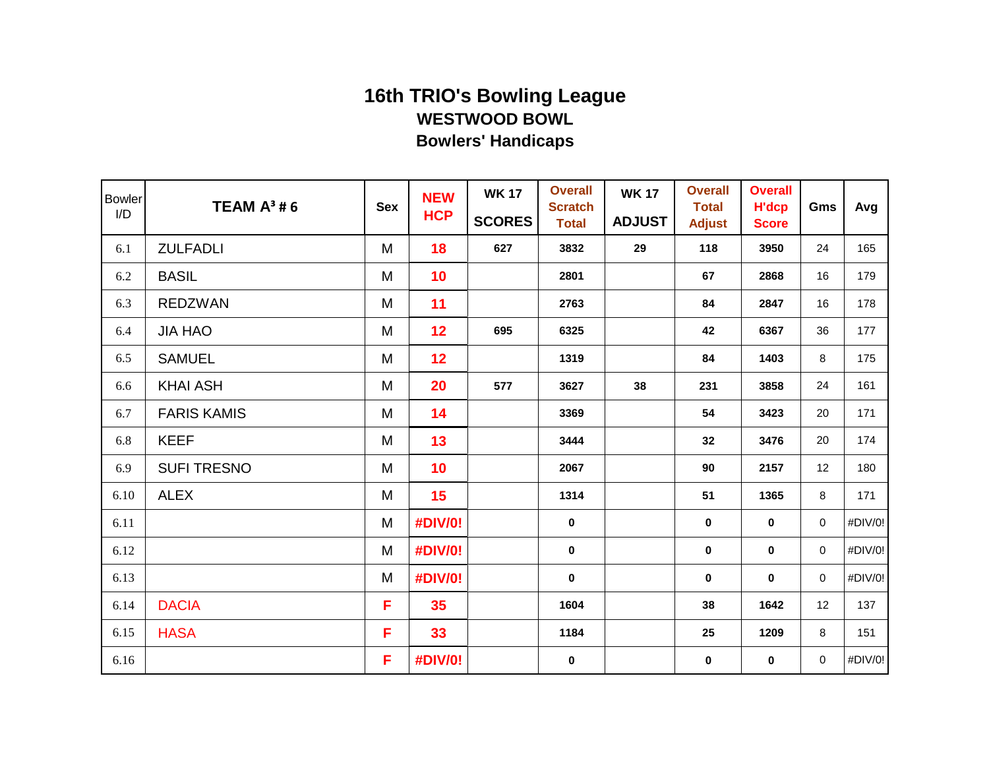| <b>Bowler</b><br>I/D | <b>TEAM <math>A^3</math>#6</b> | <b>Sex</b> | <b>NEW</b><br><b>HCP</b> | <b>WK 17</b><br><b>SCORES</b> | <b>Overall</b><br><b>Scratch</b><br><b>Total</b> | <b>WK17</b><br><b>ADJUST</b> | <b>Overall</b><br><b>Total</b><br><b>Adjust</b> | <b>Overall</b><br><b>H'dcp</b><br><b>Score</b> | Gms         | Avg     |
|----------------------|--------------------------------|------------|--------------------------|-------------------------------|--------------------------------------------------|------------------------------|-------------------------------------------------|------------------------------------------------|-------------|---------|
| 6.1                  | <b>ZULFADLI</b>                | M          | 18                       | 627                           | 3832                                             | 29                           | 118                                             | 3950                                           | 24          | 165     |
| 6.2                  | <b>BASIL</b>                   | M          | 10                       |                               | 2801                                             |                              | 67                                              | 2868                                           | 16          | 179     |
| 6.3                  | <b>REDZWAN</b>                 | M          | 11                       |                               | 2763                                             |                              | 84                                              | 2847                                           | 16          | 178     |
| 6.4                  | <b>JIA HAO</b>                 | M          | 12                       | 695                           | 6325                                             |                              | 42                                              | 6367                                           | 36          | 177     |
| 6.5                  | <b>SAMUEL</b>                  | M          | 12                       |                               | 1319                                             |                              | 84                                              | 1403                                           | 8           | 175     |
| 6.6                  | <b>KHAI ASH</b>                | M          | 20                       | 577                           | 3627                                             | 38                           | 231                                             | 3858                                           | 24          | 161     |
| 6.7                  | <b>FARIS KAMIS</b>             | M          | 14                       |                               | 3369                                             |                              | 54                                              | 3423                                           | 20          | 171     |
| 6.8                  | <b>KEEF</b>                    | M          | 13                       |                               | 3444                                             |                              | 32                                              | 3476                                           | 20          | 174     |
| 6.9                  | <b>SUFI TRESNO</b>             | M          | 10                       |                               | 2067                                             |                              | 90                                              | 2157                                           | 12          | 180     |
| 6.10                 | <b>ALEX</b>                    | M          | 15                       |                               | 1314                                             |                              | 51                                              | 1365                                           | 8           | 171     |
| 6.11                 |                                | M          | #DIV/0!                  |                               | $\pmb{0}$                                        |                              | $\bf{0}$                                        | $\mathbf 0$                                    | 0           | #DIV/0! |
| 6.12                 |                                | M          | #DIV/0!                  |                               | $\mathbf 0$                                      |                              | $\bf{0}$                                        | $\bf{0}$                                       | 0           | #DIV/0! |
| 6.13                 |                                | M          | <b>#DIV/0!</b>           |                               | $\mathbf 0$                                      |                              | $\mathbf 0$                                     | $\mathbf 0$                                    | 0           | #DIV/0! |
| 6.14                 | <b>DACIA</b>                   | F          | 35                       |                               | 1604                                             |                              | 38                                              | 1642                                           | 12          | 137     |
| 6.15                 | <b>HASA</b>                    | F          | 33                       |                               | 1184                                             |                              | 25                                              | 1209                                           | 8           | 151     |
| 6.16                 |                                | F          | #DIV/0!                  |                               | $\mathbf 0$                                      |                              | 0                                               | $\bf{0}$                                       | $\mathbf 0$ | #DIV/0! |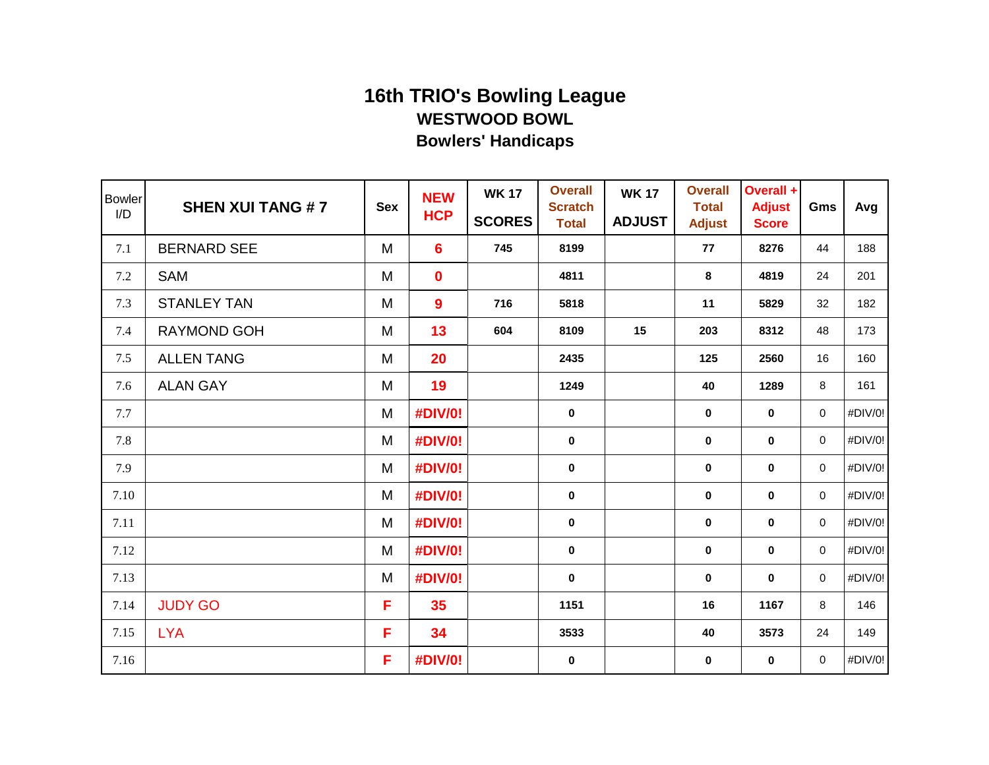| <b>Bowler</b><br>I/D | <b>SHEN XUI TANG #7</b> | <b>Sex</b> | <b>NEW</b><br><b>HCP</b> | <b>WK 17</b><br><b>SCORES</b> | <b>Overall</b><br><b>Scratch</b><br><b>Total</b> | <b>WK 17</b><br><b>ADJUST</b> | <b>Overall</b><br><b>Total</b><br><b>Adjust</b> | Overall +<br><b>Adjust</b><br><b>Score</b> | Gms         | Avg     |
|----------------------|-------------------------|------------|--------------------------|-------------------------------|--------------------------------------------------|-------------------------------|-------------------------------------------------|--------------------------------------------|-------------|---------|
| 7.1                  | <b>BERNARD SEE</b>      | M          | $6\phantom{1}$           | 745                           | 8199                                             |                               | 77                                              | 8276                                       | 44          | 188     |
| 7.2                  | <b>SAM</b>              | M          | $\mathbf 0$              |                               | 4811                                             |                               | 8                                               | 4819                                       | 24          | 201     |
| 7.3                  | <b>STANLEY TAN</b>      | M          | 9                        | 716                           | 5818                                             |                               | 11                                              | 5829                                       | 32          | 182     |
| 7.4                  | RAYMOND GOH             | M          | 13                       | 604                           | 8109                                             | 15                            | 203                                             | 8312                                       | 48          | 173     |
| 7.5                  | <b>ALLEN TANG</b>       | M          | 20                       |                               | 2435                                             |                               | 125                                             | 2560                                       | 16          | 160     |
| 7.6                  | <b>ALAN GAY</b>         | M          | 19                       |                               | 1249                                             |                               | 40                                              | 1289                                       | 8           | 161     |
| 7.7                  |                         | M          | #DIV/0!                  |                               | $\bf{0}$                                         |                               | 0                                               | $\bf{0}$                                   | 0           | #DIV/0! |
| 7.8                  |                         | M          | #DIV/0!                  |                               | $\mathbf 0$                                      |                               | 0                                               | $\bf{0}$                                   | 0           | #DIV/0! |
| 7.9                  |                         | M          | <b>#DIV/0!</b>           |                               | $\bf{0}$                                         |                               | $\mathbf 0$                                     | $\bf{0}$                                   | 0           | #DIV/0! |
| 7.10                 |                         | M          | #DIV/0!                  |                               | $\bf{0}$                                         |                               | $\bf{0}$                                        | $\bf{0}$                                   | 0           | #DIV/0! |
| 7.11                 |                         | M          | <b>#DIV/0!</b>           |                               | $\pmb{0}$                                        |                               | $\pmb{0}$                                       | $\pmb{0}$                                  | 0           | #DIV/0! |
| 7.12                 |                         | M          | #DIV/0!                  |                               | $\mathbf 0$                                      |                               | $\mathbf 0$                                     | $\mathbf 0$                                | $\mathbf 0$ | #DIV/0! |
| 7.13                 |                         | M          | <b>#DIV/0!</b>           |                               | $\mathbf 0$                                      |                               | $\mathbf 0$                                     | $\mathbf 0$                                | 0           | #DIV/0! |
| 7.14                 | <b>JUDY GO</b>          | F          | 35                       |                               | 1151                                             |                               | 16                                              | 1167                                       | 8           | 146     |
| 7.15                 | <b>LYA</b>              | F          | 34                       |                               | 3533                                             |                               | 40                                              | 3573                                       | 24          | 149     |
| 7.16                 |                         | F          | #DIV/0!                  |                               | $\bf{0}$                                         |                               | 0                                               | $\bf{0}$                                   | 0           | #DIV/0! |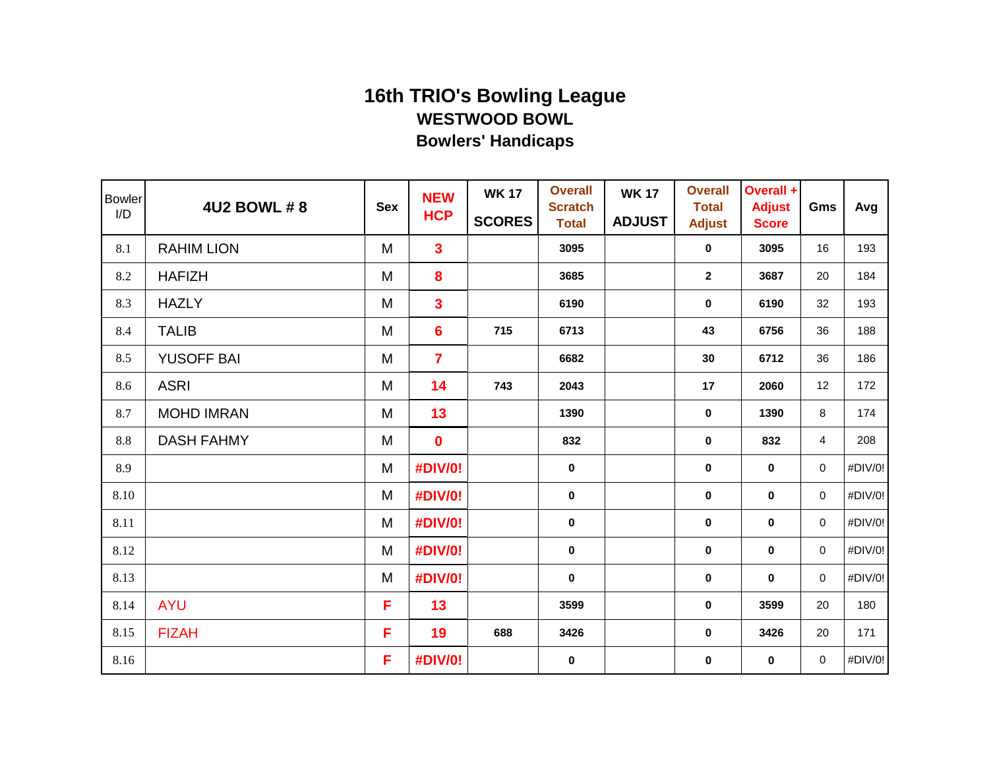| <b>Bowler</b><br>I/D | <b>4U2 BOWL #8</b> | <b>Sex</b> | <b>NEW</b><br><b>HCP</b> | <b>WK 17</b><br><b>SCORES</b> | <b>Overall</b><br><b>Scratch</b><br><b>Total</b> | <b>WK 17</b><br><b>ADJUST</b> | <b>Overall</b><br><b>Total</b><br><b>Adjust</b> | Overall +<br><b>Adjust</b><br><b>Score</b> | Gms         | Avg     |
|----------------------|--------------------|------------|--------------------------|-------------------------------|--------------------------------------------------|-------------------------------|-------------------------------------------------|--------------------------------------------|-------------|---------|
| 8.1                  | <b>RAHIM LION</b>  | M          | $\overline{\mathbf{3}}$  |                               | 3095                                             |                               | $\mathbf 0$                                     | 3095                                       | 16          | 193     |
| 8.2                  | <b>HAFIZH</b>      | M          | 8                        |                               | 3685                                             |                               | $\mathbf{2}$                                    | 3687                                       | 20          | 184     |
| 8.3                  | <b>HAZLY</b>       | M          | $\overline{\mathbf{3}}$  |                               | 6190                                             |                               | $\mathbf 0$                                     | 6190                                       | 32          | 193     |
| 8.4                  | <b>TALIB</b>       | M          | $6\phantom{1}$           | 715                           | 6713                                             |                               | 43                                              | 6756                                       | 36          | 188     |
| 8.5                  | <b>YUSOFF BAI</b>  | M          | $\overline{7}$           |                               | 6682                                             |                               | 30                                              | 6712                                       | 36          | 186     |
| 8.6                  | <b>ASRI</b>        | M          | 14                       | 743                           | 2043                                             |                               | 17                                              | 2060                                       | 12          | 172     |
| 8.7                  | <b>MOHD IMRAN</b>  | M          | 13                       |                               | 1390                                             |                               | $\bf{0}$                                        | 1390                                       | 8           | 174     |
| $8.8\,$              | <b>DASH FAHMY</b>  | M          | $\mathbf 0$              |                               | 832                                              |                               | $\pmb{0}$                                       | 832                                        | 4           | 208     |
| 8.9                  |                    | M          | #DIV/0!                  |                               | $\mathbf 0$                                      |                               | 0                                               | $\mathbf 0$                                | 0           | #DIV/0! |
| 8.10                 |                    | M          | <b>#DIV/0!</b>           |                               | $\mathbf 0$                                      |                               | $\mathbf 0$                                     | $\bf{0}$                                   | $\mathbf 0$ | #DIV/0! |
| 8.11                 |                    | M          | #DIV/0!                  |                               | $\pmb{0}$                                        |                               | $\bf{0}$                                        | $\bf{0}$                                   | 0           | #DIV/0! |
| 8.12                 |                    | M          | #DIV/0!                  |                               | $\mathbf 0$                                      |                               | $\bf{0}$                                        | $\bf{0}$                                   | 0           | #DIV/0! |
| 8.13                 |                    | M          | #DIV/0!                  |                               | $\mathbf 0$                                      |                               | $\mathbf 0$                                     | $\mathbf 0$                                | 0           | #DIV/0! |
| 8.14                 | <b>AYU</b>         | F          | 13                       |                               | 3599                                             |                               | $\bf{0}$                                        | 3599                                       | 20          | 180     |
| 8.15                 | <b>FIZAH</b>       | F          | 19                       | 688                           | 3426                                             |                               | 0                                               | 3426                                       | 20          | 171     |
| 8.16                 |                    | F          | #DIV/0!                  |                               | $\mathbf 0$                                      |                               | 0                                               | $\bf{0}$                                   | $\mathbf 0$ | #DIV/0! |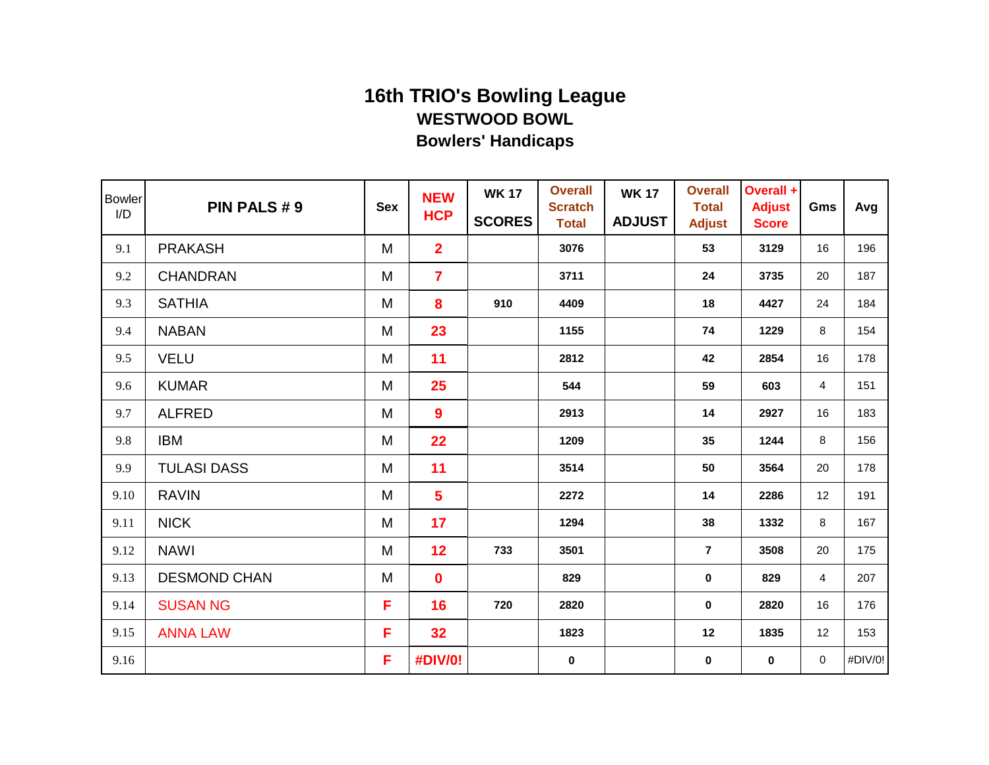| <b>Bowler</b><br>I/D | PIN PALS #9         | <b>Sex</b> | <b>NEW</b><br><b>HCP</b> | <b>WK 17</b><br><b>SCORES</b> | <b>Overall</b><br><b>Scratch</b><br><b>Total</b> | <b>WK 17</b><br><b>ADJUST</b> | <b>Overall</b><br><b>Total</b><br><b>Adjust</b> | Overall +<br><b>Adjust</b><br><b>Score</b> | Gms       | Avg     |
|----------------------|---------------------|------------|--------------------------|-------------------------------|--------------------------------------------------|-------------------------------|-------------------------------------------------|--------------------------------------------|-----------|---------|
| 9.1                  | <b>PRAKASH</b>      | M          | $\overline{2}$           |                               | 3076                                             |                               | 53                                              | 3129                                       | 16        | 196     |
| 9.2                  | <b>CHANDRAN</b>     | M          | $\overline{7}$           |                               | 3711                                             |                               | 24                                              | 3735                                       | 20        | 187     |
| 9.3                  | <b>SATHIA</b>       | M          | 8                        | 910                           | 4409                                             |                               | 18                                              | 4427                                       | 24        | 184     |
| 9.4                  | <b>NABAN</b>        | M          | 23                       |                               | 1155                                             |                               | 74                                              | 1229                                       | 8         | 154     |
| 9.5                  | <b>VELU</b>         | M          | 11                       |                               | 2812                                             |                               | 42                                              | 2854                                       | 16        | 178     |
| 9.6                  | <b>KUMAR</b>        | M          | 25                       |                               | 544                                              |                               | 59                                              | 603                                        | 4         | 151     |
| 9.7                  | <b>ALFRED</b>       | M          | 9                        |                               | 2913                                             |                               | 14                                              | 2927                                       | 16        | 183     |
| 9.8                  | <b>IBM</b>          | M          | 22                       |                               | 1209                                             |                               | 35                                              | 1244                                       | 8         | 156     |
| 9.9                  | <b>TULASI DASS</b>  | M          | 11                       |                               | 3514                                             |                               | 50                                              | 3564                                       | 20        | 178     |
| 9.10                 | <b>RAVIN</b>        | M          | $5\phantom{a}$           |                               | 2272                                             |                               | 14                                              | 2286                                       | 12        | 191     |
| 9.11                 | <b>NICK</b>         | M          | 17                       |                               | 1294                                             |                               | 38                                              | 1332                                       | 8         | 167     |
| 9.12                 | <b>NAWI</b>         | M          | 12                       | 733                           | 3501                                             |                               | $\overline{7}$                                  | 3508                                       | 20        | 175     |
| 9.13                 | <b>DESMOND CHAN</b> | M          | 0                        |                               | 829                                              |                               | 0                                               | 829                                        | 4         | 207     |
| 9.14                 | <b>SUSAN NG</b>     | F          | 16                       | 720                           | 2820                                             |                               | 0                                               | 2820                                       | 16        | 176     |
| 9.15                 | <b>ANNA LAW</b>     | F          | 32                       |                               | 1823                                             |                               | 12                                              | 1835                                       | 12        | 153     |
| 9.16                 |                     | F          | #DIV/0!                  |                               | $\mathbf 0$                                      |                               | 0                                               | $\mathbf 0$                                | $\pmb{0}$ | #DIV/0! |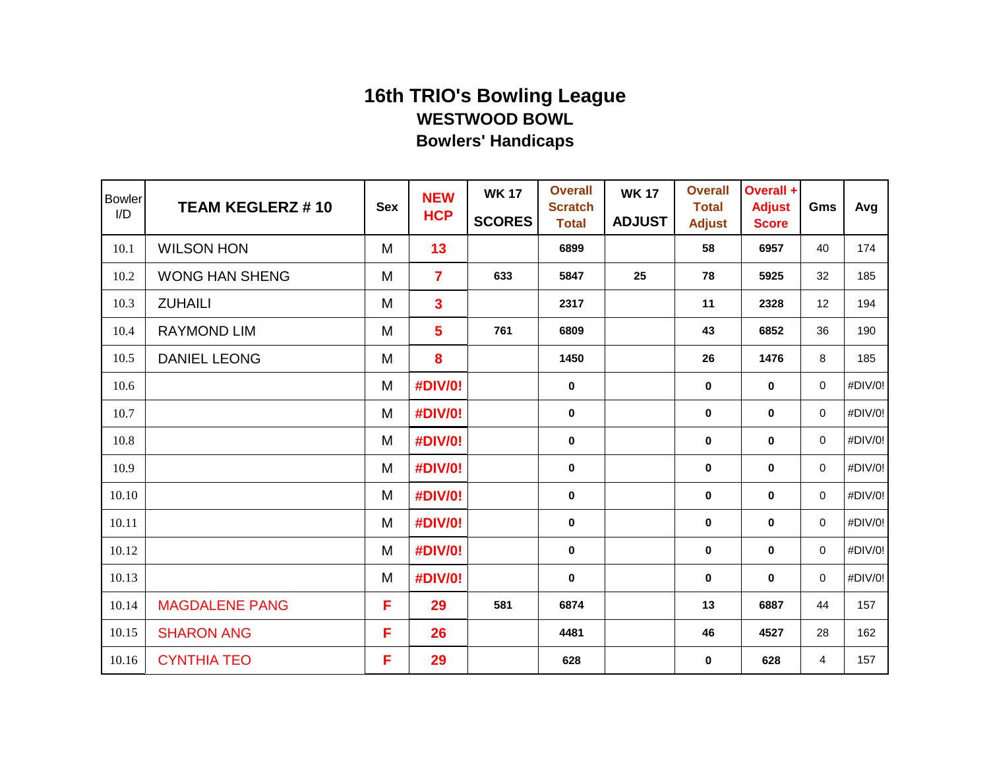| <b>Bowler</b><br>I/D | <b>TEAM KEGLERZ #10</b> | <b>Sex</b> | <b>NEW</b><br><b>HCP</b> | <b>WK 17</b><br><b>SCORES</b> | <b>Overall</b><br><b>Scratch</b><br><b>Total</b> | <b>WK 17</b><br><b>ADJUST</b> | <b>Overall</b><br><b>Total</b><br><b>Adjust</b> | Overall +<br><b>Adjust</b><br><b>Score</b> | Gms            | Avg     |
|----------------------|-------------------------|------------|--------------------------|-------------------------------|--------------------------------------------------|-------------------------------|-------------------------------------------------|--------------------------------------------|----------------|---------|
| 10.1                 | <b>WILSON HON</b>       | M          | 13                       |                               | 6899                                             |                               | 58                                              | 6957                                       | 40             | 174     |
| 10.2                 | <b>WONG HAN SHENG</b>   | M          | $\overline{\mathbf{7}}$  | 633                           | 5847                                             | 25                            | 78                                              | 5925                                       | 32             | 185     |
| 10.3                 | <b>ZUHAILI</b>          | M          | $\overline{\mathbf{3}}$  |                               | 2317                                             |                               | 11                                              | 2328                                       | 12             | 194     |
| 10.4                 | <b>RAYMOND LIM</b>      | M          | $5\overline{)}$          | 761                           | 6809                                             |                               | 43                                              | 6852                                       | 36             | 190     |
| 10.5                 | <b>DANIEL LEONG</b>     | M          | 8                        |                               | 1450                                             |                               | 26                                              | 1476                                       | 8              | 185     |
| 10.6                 |                         | M          | #DIV/0!                  |                               | 0                                                |                               | $\bf{0}$                                        | $\bf{0}$                                   | 0              | #DIV/0! |
| 10.7                 |                         | M          | #DIV/0!                  |                               | $\mathbf 0$                                      |                               | $\bf{0}$                                        | $\bf{0}$                                   | $\mathbf 0$    | #DIV/0! |
| 10.8                 |                         | M          | #DIV/0!                  |                               | 0                                                |                               | 0                                               | $\mathbf 0$                                | $\mathbf 0$    | #DIV/0! |
| 10.9                 |                         | M          | #DIV/0!                  |                               | 0                                                |                               | $\bf{0}$                                        | $\bf{0}$                                   | 0              | #DIV/0! |
| 10.10                |                         | M          | <b>#DIV/0!</b>           |                               | 0                                                |                               | $\bf{0}$                                        | $\mathbf 0$                                | $\mathbf 0$    | #DIV/0! |
| 10.11                |                         | M          | #DIV/0!                  |                               | $\mathbf 0$                                      |                               | $\mathbf 0$                                     | $\mathbf 0$                                | $\mathbf 0$    | #DIV/0! |
| 10.12                |                         | M          | #DIV/0!                  |                               | $\mathbf 0$                                      |                               | $\bf{0}$                                        | $\mathbf 0$                                | 0              | #DIV/0! |
| 10.13                |                         | M          | <b>#DIV/0!</b>           |                               | $\bf{0}$                                         |                               | $\mathbf 0$                                     | $\mathbf 0$                                | $\mathbf 0$    | #DIV/0! |
| 10.14                | <b>MAGDALENE PANG</b>   | F          | 29                       | 581                           | 6874                                             |                               | 13                                              | 6887                                       | 44             | 157     |
| 10.15                | <b>SHARON ANG</b>       | F          | 26                       |                               | 4481                                             |                               | 46                                              | 4527                                       | 28             | 162     |
| 10.16                | <b>CYNTHIA TEO</b>      | F          | 29                       |                               | 628                                              |                               | $\mathbf 0$                                     | 628                                        | $\overline{4}$ | 157     |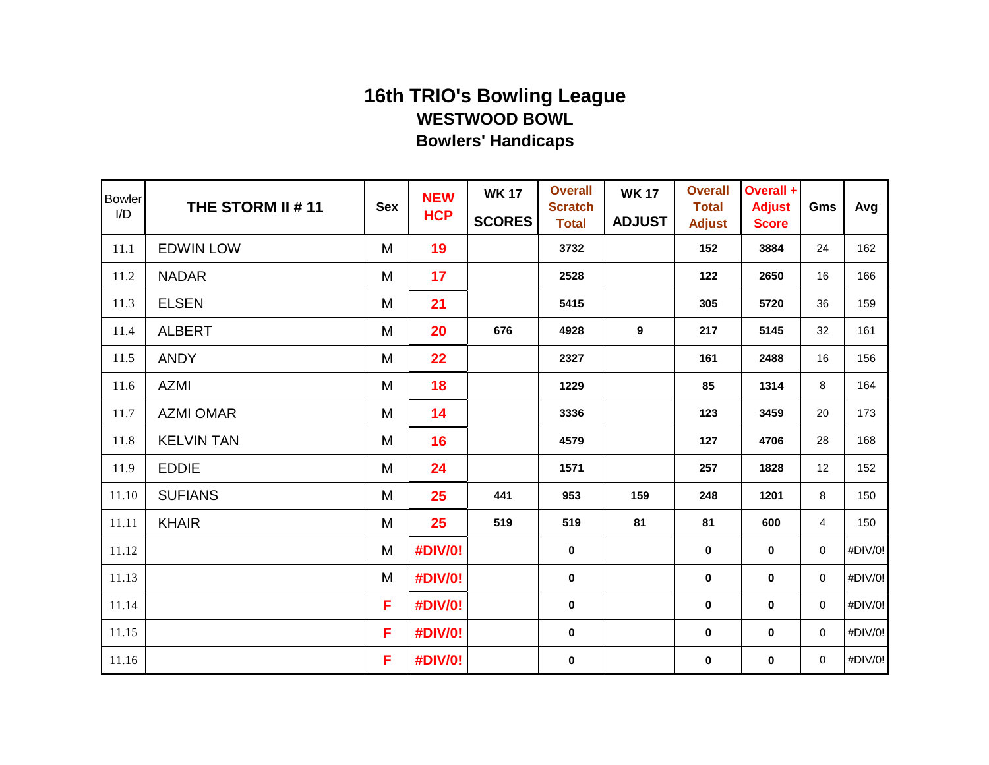| <b>Bowler</b><br>I/D | THE STORM II # 11 | <b>Sex</b> | <b>NEW</b><br><b>HCP</b> | <b>WK 17</b><br><b>SCORES</b> | <b>Overall</b><br><b>Scratch</b><br><b>Total</b> | <b>WK 17</b><br><b>ADJUST</b> | <b>Overall</b><br><b>Total</b><br><b>Adjust</b> | Overall +<br><b>Adjust</b><br><b>Score</b> | Gms                 | Avg     |
|----------------------|-------------------|------------|--------------------------|-------------------------------|--------------------------------------------------|-------------------------------|-------------------------------------------------|--------------------------------------------|---------------------|---------|
| 11.1                 | <b>EDWIN LOW</b>  | M          | 19                       |                               | 3732                                             |                               | 152                                             | 3884                                       | 24                  | 162     |
| 11.2                 | <b>NADAR</b>      | M          | 17                       |                               | 2528                                             |                               | 122                                             | 2650                                       | 16                  | 166     |
| 11.3                 | <b>ELSEN</b>      | M          | 21                       |                               | 5415                                             |                               | 305                                             | 5720                                       | 36                  | 159     |
| 11.4                 | <b>ALBERT</b>     | M          | 20                       | 676                           | 4928                                             | 9                             | 217                                             | 5145                                       | 32                  | 161     |
| 11.5                 | <b>ANDY</b>       | M          | 22                       |                               | 2327                                             |                               | 161                                             | 2488                                       | 16                  | 156     |
| 11.6                 | AZMI              | M          | 18                       |                               | 1229                                             |                               | 85                                              | 1314                                       | 8                   | 164     |
| 11.7                 | <b>AZMI OMAR</b>  | M          | 14                       |                               | 3336                                             |                               | 123                                             | 3459                                       | 20                  | 173     |
| 11.8                 | <b>KELVIN TAN</b> | M          | 16                       |                               | 4579                                             |                               | 127                                             | 4706                                       | 28                  | 168     |
| 11.9                 | <b>EDDIE</b>      | M          | 24                       |                               | 1571                                             |                               | 257                                             | 1828                                       | 12                  | 152     |
| 11.10                | <b>SUFIANS</b>    | M          | 25                       | 441                           | 953                                              | 159                           | 248                                             | 1201                                       | 8                   | 150     |
| 11.11                | <b>KHAIR</b>      | M          | 25                       | 519                           | 519                                              | 81                            | 81                                              | 600                                        | 4                   | 150     |
| 11.12                |                   | M          | #DIV/0!                  |                               | $\mathbf 0$                                      |                               | $\mathbf 0$                                     | $\bf{0}$                                   | $\mathsf{O}\xspace$ | #DIV/0! |
| 11.13                |                   | M          | #DIV/0!                  |                               | $\bf{0}$                                         |                               | $\mathbf 0$                                     | 0                                          | $\mathbf 0$         | #DIV/0! |
| 11.14                |                   | F          | #DIV/0!                  |                               | $\mathbf 0$                                      |                               | 0                                               | $\mathbf 0$                                | $\mathbf 0$         | #DIV/0! |
| 11.15                |                   | F          | #DIV/0!                  |                               | $\mathbf 0$                                      |                               | 0                                               | $\bf{0}$                                   | $\mathbf 0$         | #DIV/0! |
| 11.16                |                   | F          | #DIV/0!                  |                               | $\mathbf 0$                                      |                               | 0                                               | $\mathbf 0$                                | $\mathbf 0$         | #DIV/0! |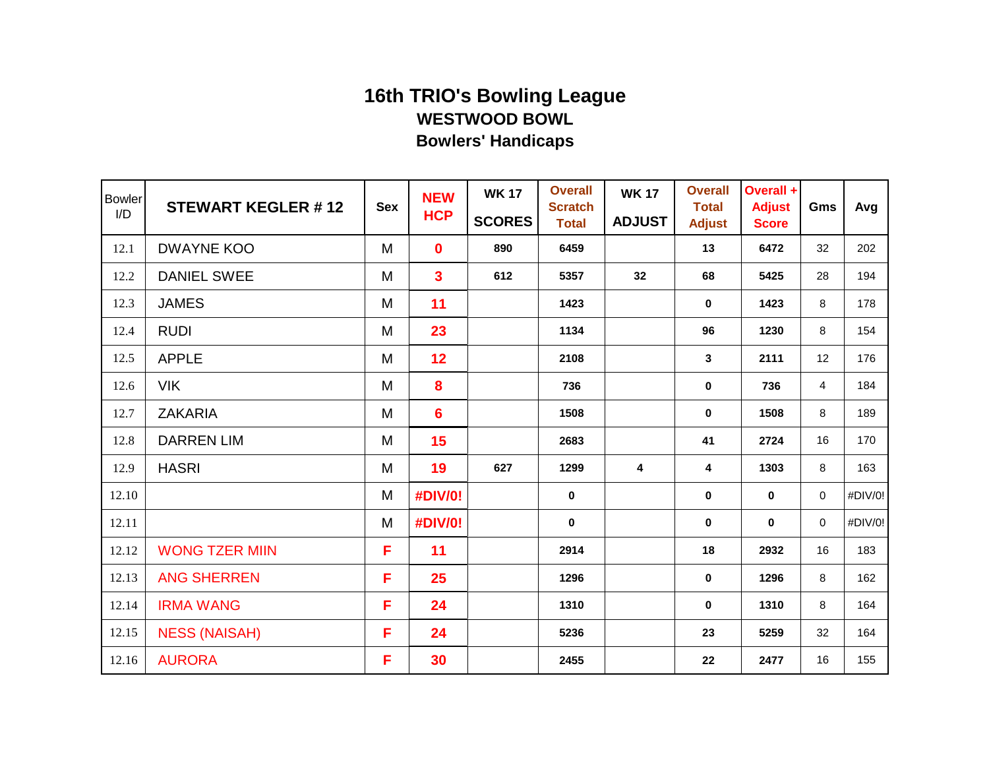| <b>Bowler</b><br>I/D | <b>STEWART KEGLER #12</b> | <b>Sex</b> | <b>NEW</b><br><b>HCP</b> | <b>WK 17</b><br><b>SCORES</b> | <b>Overall</b><br><b>Scratch</b><br><b>Total</b> | <b>WK 17</b><br><b>ADJUST</b> | <b>Overall</b><br><b>Total</b><br><b>Adjust</b> | Overall +<br><b>Adjust</b><br><b>Score</b> | Gms                     | Avg     |
|----------------------|---------------------------|------------|--------------------------|-------------------------------|--------------------------------------------------|-------------------------------|-------------------------------------------------|--------------------------------------------|-------------------------|---------|
| 12.1                 | <b>DWAYNE KOO</b>         | M          | $\mathbf 0$              | 890                           | 6459                                             |                               | 13                                              | 6472                                       | 32                      | 202     |
| 12.2                 | <b>DANIEL SWEE</b>        | M          | $\overline{\mathbf{3}}$  | 612                           | 5357                                             | 32                            | 68                                              | 5425                                       | 28                      | 194     |
| 12.3                 | <b>JAMES</b>              | M          | 11                       |                               | 1423                                             |                               | $\mathbf 0$                                     | 1423                                       | 8                       | 178     |
| 12.4                 | <b>RUDI</b>               | M          | 23                       |                               | 1134                                             |                               | 96                                              | 1230                                       | 8                       | 154     |
| 12.5                 | <b>APPLE</b>              | M          | 12                       |                               | 2108                                             |                               | 3                                               | 2111                                       | 12                      | 176     |
| 12.6                 | <b>VIK</b>                | M          | 8                        |                               | 736                                              |                               | $\pmb{0}$                                       | 736                                        | $\overline{\mathbf{4}}$ | 184     |
| 12.7                 | <b>ZAKARIA</b>            | M          | 6                        |                               | 1508                                             |                               | $\mathbf 0$                                     | 1508                                       | 8                       | 189     |
| 12.8                 | <b>DARREN LIM</b>         | M          | 15                       |                               | 2683                                             |                               | 41                                              | 2724                                       | 16                      | 170     |
| 12.9                 | <b>HASRI</b>              | M          | 19                       | 627                           | 1299                                             | 4                             | 4                                               | 1303                                       | 8                       | 163     |
| 12.10                |                           | M          | #DIV/0!                  |                               | $\pmb{0}$                                        |                               | $\pmb{0}$                                       | $\pmb{0}$                                  | $\pmb{0}$               | #DIV/0! |
| 12.11                |                           | M          | <b>#DIV/0!</b>           |                               | $\mathbf 0$                                      |                               | 0                                               | $\bf{0}$                                   | $\mathbf 0$             | #DIV/0! |
| 12.12                | <b>WONG TZER MIIN</b>     | F          | 11                       |                               | 2914                                             |                               | 18                                              | 2932                                       | 16                      | 183     |
| 12.13                | <b>ANG SHERREN</b>        | F          | 25                       |                               | 1296                                             |                               | 0                                               | 1296                                       | 8                       | 162     |
| 12.14                | <b>IRMA WANG</b>          | F          | 24                       |                               | 1310                                             |                               | $\mathbf 0$                                     | 1310                                       | 8                       | 164     |
| 12.15                | <b>NESS (NAISAH)</b>      | F          | 24                       |                               | 5236                                             |                               | 23                                              | 5259                                       | 32                      | 164     |
| 12.16                | <b>AURORA</b>             | F          | 30                       |                               | 2455                                             |                               | 22                                              | 2477                                       | 16                      | 155     |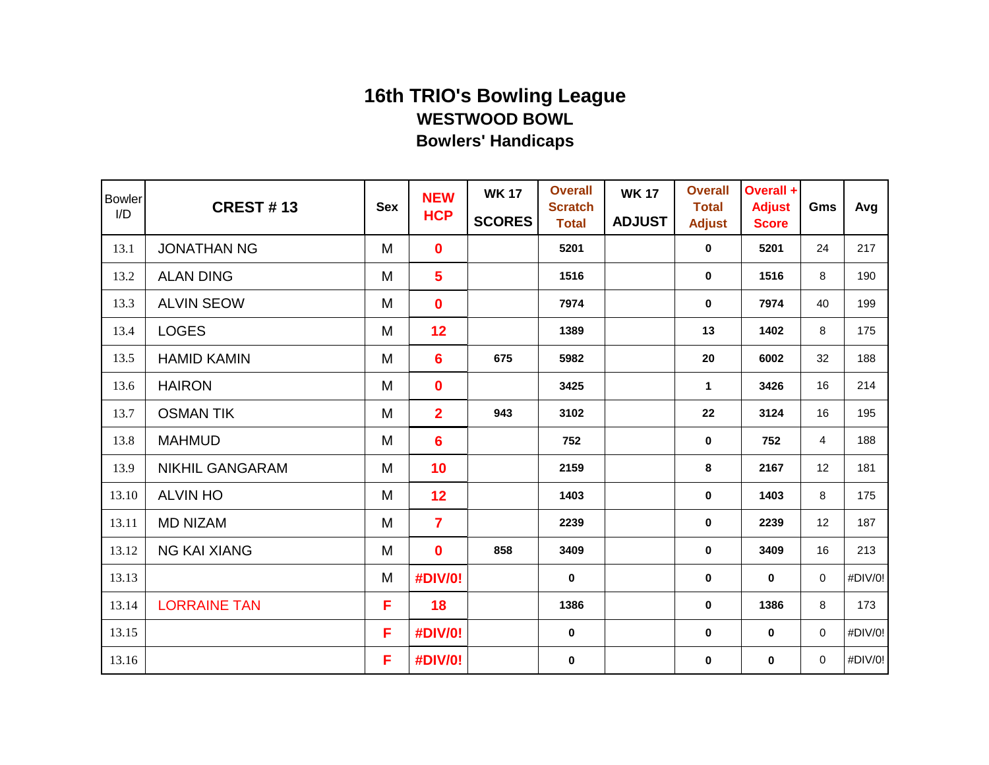| <b>Bowler</b><br>I/D | <b>CREST #13</b>       | <b>Sex</b> | <b>NEW</b><br><b>HCP</b> | <b>WK 17</b><br><b>SCORES</b> | <b>Overall</b><br><b>Scratch</b><br><b>Total</b> | <b>WK 17</b><br><b>ADJUST</b> | <b>Overall</b><br><b>Total</b><br><b>Adjust</b> | Overall +<br><b>Adjust</b><br><b>Score</b> | Gms            | Avg     |
|----------------------|------------------------|------------|--------------------------|-------------------------------|--------------------------------------------------|-------------------------------|-------------------------------------------------|--------------------------------------------|----------------|---------|
| 13.1                 | <b>JONATHAN NG</b>     | M          | $\mathbf 0$              |                               | 5201                                             |                               | 0                                               | 5201                                       | 24             | 217     |
| 13.2                 | <b>ALAN DING</b>       | M          | $5\phantom{1}$           |                               | 1516                                             |                               | $\mathbf 0$                                     | 1516                                       | 8              | 190     |
| 13.3                 | <b>ALVIN SEOW</b>      | M          | $\mathbf 0$              |                               | 7974                                             |                               | $\mathbf 0$                                     | 7974                                       | 40             | 199     |
| 13.4                 | <b>LOGES</b>           | M          | 12                       |                               | 1389                                             |                               | 13                                              | 1402                                       | 8              | 175     |
| 13.5                 | <b>HAMID KAMIN</b>     | M          | $6\phantom{1}6$          | 675                           | 5982                                             |                               | 20                                              | 6002                                       | 32             | 188     |
| 13.6                 | <b>HAIRON</b>          | M          | $\mathbf 0$              |                               | 3425                                             |                               | 1                                               | 3426                                       | 16             | 214     |
| 13.7                 | <b>OSMAN TIK</b>       | M          | $\overline{2}$           | 943                           | 3102                                             |                               | 22                                              | 3124                                       | 16             | 195     |
| 13.8                 | <b>MAHMUD</b>          | M          | $6\phantom{1}6$          |                               | 752                                              |                               | 0                                               | 752                                        | $\overline{4}$ | 188     |
| 13.9                 | <b>NIKHIL GANGARAM</b> | M          | 10                       |                               | 2159                                             |                               | 8                                               | 2167                                       | 12             | 181     |
| 13.10                | <b>ALVIN HO</b>        | M          | 12                       |                               | 1403                                             |                               | 0                                               | 1403                                       | 8              | 175     |
| 13.11                | <b>MD NIZAM</b>        | M          | $\overline{7}$           |                               | 2239                                             |                               | $\pmb{0}$                                       | 2239                                       | 12             | 187     |
| 13.12                | <b>NG KAI XIANG</b>    | M          | $\mathbf 0$              | 858                           | 3409                                             |                               | $\mathbf 0$                                     | 3409                                       | 16             | 213     |
| 13.13                |                        | M          | <b>#DIV/0!</b>           |                               | $\mathbf 0$                                      |                               | 0                                               | $\mathbf 0$                                | $\mathbf 0$    | #DIV/0! |
| 13.14                | <b>LORRAINE TAN</b>    | F          | 18                       |                               | 1386                                             |                               | 0                                               | 1386                                       | 8              | 173     |
| 13.15                |                        | F          | #DIV/0!                  |                               | $\mathbf 0$                                      |                               | $\pmb{0}$                                       | $\mathbf 0$                                | 0              | #DIV/0! |
| 13.16                |                        | F          | #DIV/0!                  |                               | $\bf{0}$                                         |                               | $\pmb{0}$                                       | $\pmb{0}$                                  | 0              | #DIV/0! |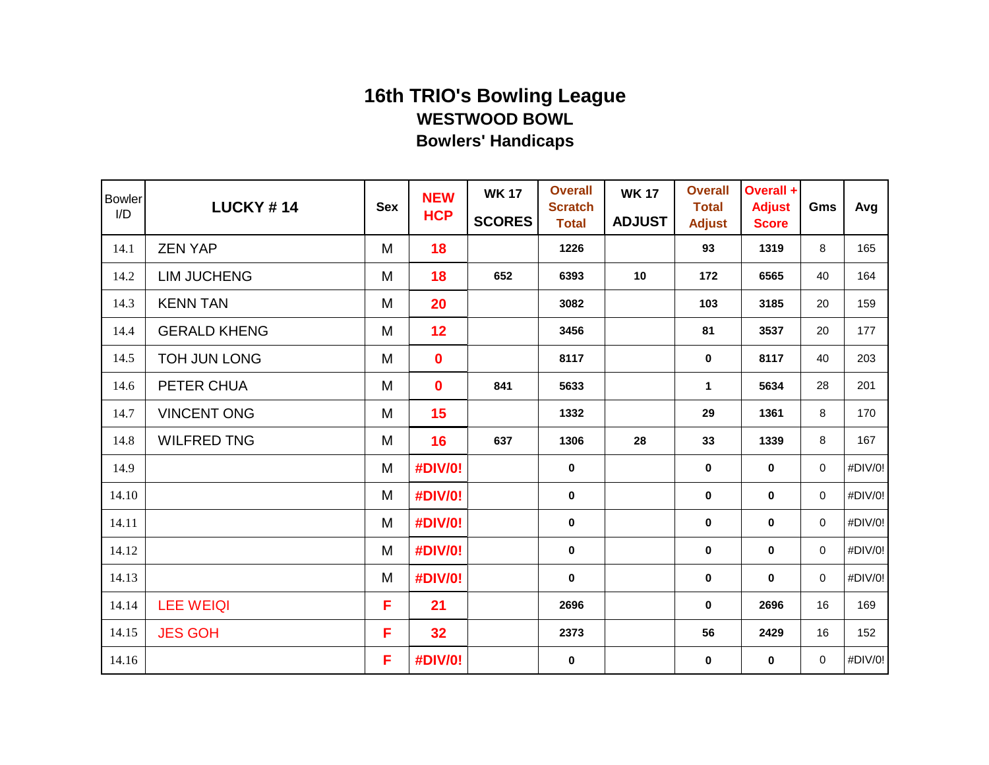| <b>Bowler</b><br>I/D | <b>LUCKY #14</b>    | <b>Sex</b> | <b>NEW</b><br><b>HCP</b> | <b>WK 17</b><br><b>SCORES</b> | <b>Overall</b><br><b>Scratch</b><br><b>Total</b> | <b>WK 17</b><br><b>ADJUST</b> | <b>Overall</b><br><b>Total</b><br><b>Adjust</b> | Overall +<br><b>Adjust</b><br><b>Score</b> | Gms         | Avg     |
|----------------------|---------------------|------------|--------------------------|-------------------------------|--------------------------------------------------|-------------------------------|-------------------------------------------------|--------------------------------------------|-------------|---------|
| 14.1                 | <b>ZEN YAP</b>      | M          | 18                       |                               | 1226                                             |                               | 93                                              | 1319                                       | 8           | 165     |
| 14.2                 | <b>LIM JUCHENG</b>  | M          | 18                       | 652                           | 6393                                             | 10                            | 172                                             | 6565                                       | 40          | 164     |
| 14.3                 | <b>KENN TAN</b>     | M          | 20                       |                               | 3082                                             |                               | 103                                             | 3185                                       | 20          | 159     |
| 14.4                 | <b>GERALD KHENG</b> | M          | 12                       |                               | 3456                                             |                               | 81                                              | 3537                                       | 20          | 177     |
| 14.5                 | <b>TOH JUN LONG</b> | M          | $\mathbf 0$              |                               | 8117                                             |                               | $\mathbf 0$                                     | 8117                                       | 40          | 203     |
| 14.6                 | PETER CHUA          | M          | $\mathbf 0$              | 841                           | 5633                                             |                               | 1                                               | 5634                                       | 28          | 201     |
| 14.7                 | <b>VINCENT ONG</b>  | M          | 15                       |                               | 1332                                             |                               | 29                                              | 1361                                       | 8           | 170     |
| 14.8                 | <b>WILFRED TNG</b>  | M          | 16                       | 637                           | 1306                                             | 28                            | 33                                              | 1339                                       | 8           | 167     |
| 14.9                 |                     | M          | #DIV/0!                  |                               | $\mathbf 0$                                      |                               | $\mathbf 0$                                     | $\mathbf 0$                                | 0           | #DIV/0! |
| 14.10                |                     | M          | #DIV/0!                  |                               | $\bf{0}$                                         |                               | 0                                               | $\mathbf 0$                                | 0           | #DIV/0! |
| 14.11                |                     | M          | #DIV/0!                  |                               | $\pmb{0}$                                        |                               | $\pmb{0}$                                       | $\mathbf 0$                                | 0           | #DIV/0! |
| 14.12                |                     | M          | #DIV/0!                  |                               | $\bf{0}$                                         |                               | $\mathbf 0$                                     | $\mathbf 0$                                | $\mathbf 0$ | #DIV/0! |
| 14.13                |                     | M          | #DIV/0!                  |                               | $\mathbf 0$                                      |                               | 0                                               | $\mathbf 0$                                | 0           | #DIV/0! |
| 14.14                | <b>LEE WEIQI</b>    | F          | 21                       |                               | 2696                                             |                               | 0                                               | 2696                                       | 16          | 169     |
| 14.15                | <b>JES GOH</b>      | F          | 32                       |                               | 2373                                             |                               | 56                                              | 2429                                       | 16          | 152     |
| 14.16                |                     | F          | #DIV/0!                  |                               | $\mathbf 0$                                      |                               | $\pmb{0}$                                       | $\mathbf 0$                                | 0           | #DIV/0! |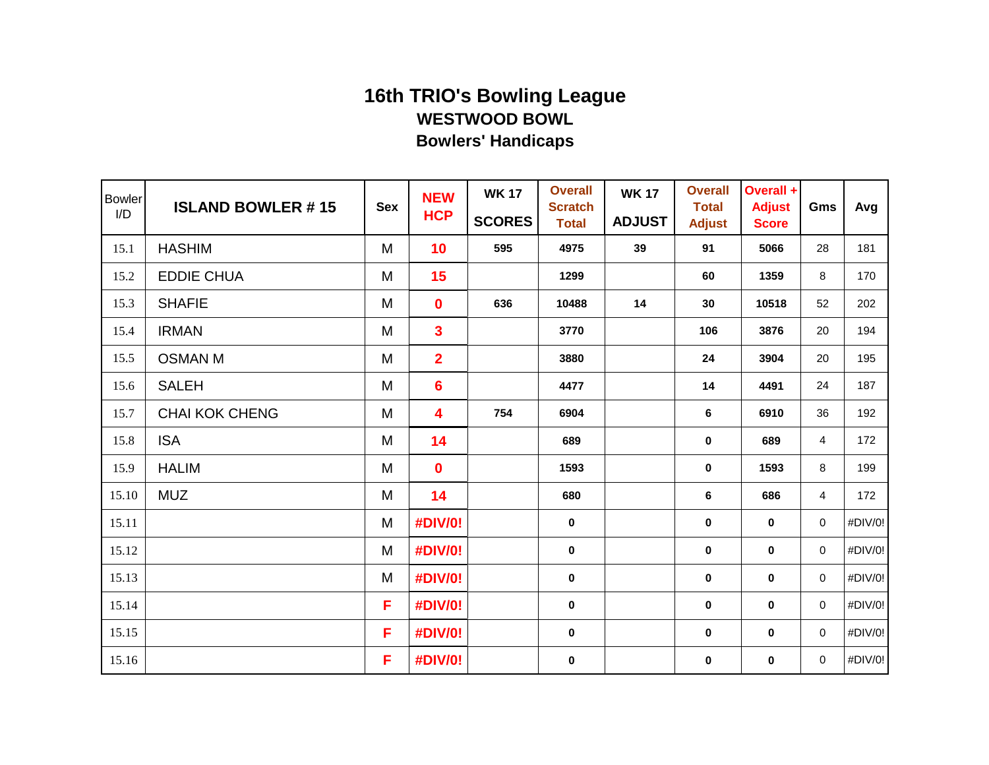| <b>Bowler</b><br>I/D | <b>ISLAND BOWLER #15</b> | <b>Sex</b> | <b>NEW</b><br><b>HCP</b> | <b>WK 17</b><br><b>SCORES</b> | <b>Overall</b><br><b>Scratch</b><br><b>Total</b> | <b>WK 17</b><br><b>ADJUST</b> | <b>Overall</b><br><b>Total</b><br><b>Adjust</b> | Overall +<br><b>Adjust</b><br><b>Score</b> | Gms            | Avg     |
|----------------------|--------------------------|------------|--------------------------|-------------------------------|--------------------------------------------------|-------------------------------|-------------------------------------------------|--------------------------------------------|----------------|---------|
| 15.1                 | <b>HASHIM</b>            | M          | 10                       | 595                           | 4975                                             | 39                            | 91                                              | 5066                                       | 28             | 181     |
| 15.2                 | <b>EDDIE CHUA</b>        | M          | 15                       |                               | 1299                                             |                               | 60                                              | 1359                                       | 8              | 170     |
| 15.3                 | <b>SHAFIE</b>            | M          | $\mathbf 0$              | 636                           | 10488                                            | 14                            | 30                                              | 10518                                      | 52             | 202     |
| 15.4                 | <b>IRMAN</b>             | M          | $\mathbf{3}$             |                               | 3770                                             |                               | 106                                             | 3876                                       | 20             | 194     |
| 15.5                 | <b>OSMAN M</b>           | M          | $\overline{2}$           |                               | 3880                                             |                               | 24                                              | 3904                                       | 20             | 195     |
| 15.6                 | <b>SALEH</b>             | M          | 6                        |                               | 4477                                             |                               | 14                                              | 4491                                       | 24             | 187     |
| 15.7                 | <b>CHAI KOK CHENG</b>    | M          | 4                        | 754                           | 6904                                             |                               | 6                                               | 6910                                       | 36             | 192     |
| 15.8                 | <b>ISA</b>               | M          | 14                       |                               | 689                                              |                               | 0                                               | 689                                        | 4              | 172     |
| 15.9                 | <b>HALIM</b>             | M          | $\mathbf 0$              |                               | 1593                                             |                               | 0                                               | 1593                                       | 8              | 199     |
| 15.10                | <b>MUZ</b>               | M          | 14                       |                               | 680                                              |                               | 6                                               | 686                                        | $\overline{4}$ | 172     |
| 15.11                |                          | M          | #DIV/0!                  |                               | $\pmb{0}$                                        |                               | $\pmb{0}$                                       | $\mathbf 0$                                | 0              | #DIV/0! |
| 15.12                |                          | M          | #DIV/0!                  |                               | $\mathbf 0$                                      |                               | $\mathbf 0$                                     | $\bf{0}$                                   | 0              | #DIV/0! |
| 15.13                |                          | M          | #DIV/0!                  |                               | $\mathbf 0$                                      |                               | $\mathbf 0$                                     | $\mathbf 0$                                | 0              | #DIV/0! |
| 15.14                |                          | F          | #DIV/0!                  |                               | $\mathbf 0$                                      |                               | 0                                               | $\mathbf 0$                                | 0              | #DIV/0! |
| 15.15                |                          | F          | #DIV/0!                  |                               | $\mathbf 0$                                      |                               | 0                                               | $\bf{0}$                                   | 0              | #DIV/0! |
| 15.16                |                          | F          | #DIV/0!                  |                               | $\mathbf 0$                                      |                               | 0                                               | $\bf{0}$                                   | 0              | #DIV/0! |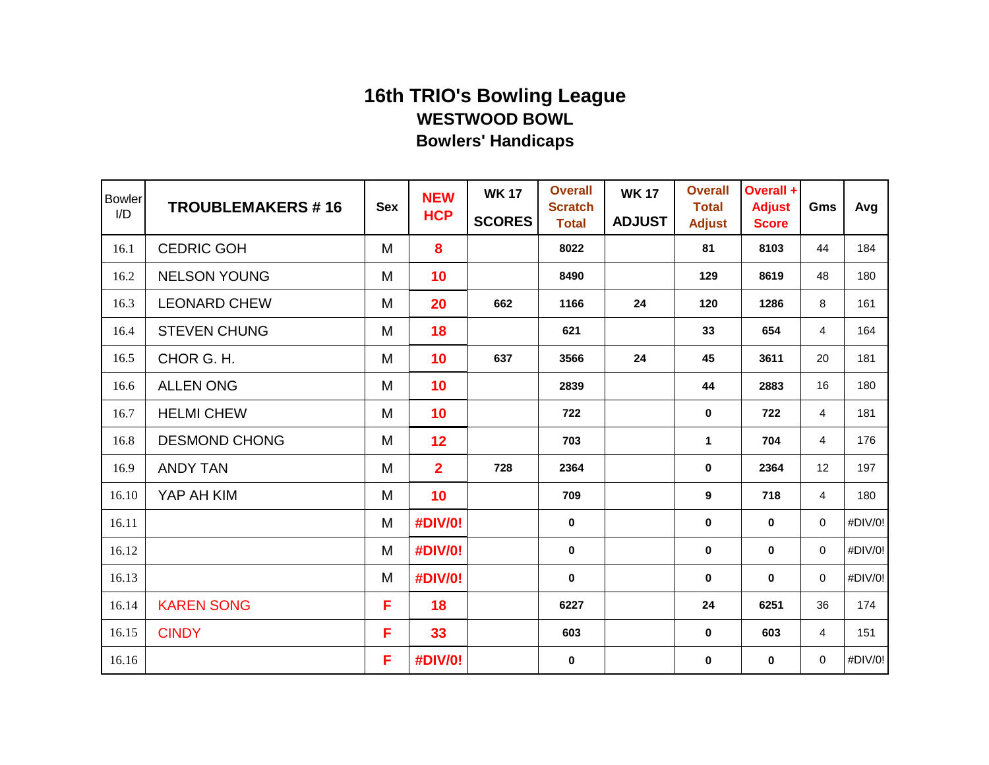| <b>Bowler</b><br>I/D | <b>TROUBLEMAKERS #16</b> | <b>Sex</b> | <b>NEW</b><br><b>HCP</b> | <b>WK 17</b><br><b>SCORES</b> | <b>Overall</b><br><b>Scratch</b><br><b>Total</b> | <b>WK 17</b><br><b>ADJUST</b> | <b>Overall</b><br><b>Total</b><br><b>Adjust</b> | Overall +<br><b>Adjust</b><br><b>Score</b> | Gms            | Avg     |
|----------------------|--------------------------|------------|--------------------------|-------------------------------|--------------------------------------------------|-------------------------------|-------------------------------------------------|--------------------------------------------|----------------|---------|
| 16.1                 | <b>CEDRIC GOH</b>        | M          | 8                        |                               | 8022                                             |                               | 81                                              | 8103                                       | 44             | 184     |
| 16.2                 | <b>NELSON YOUNG</b>      | M          | 10                       |                               | 8490                                             |                               | 129                                             | 8619                                       | 48             | 180     |
| 16.3                 | <b>LEONARD CHEW</b>      | M          | 20                       | 662                           | 1166                                             | 24                            | 120                                             | 1286                                       | 8              | 161     |
| 16.4                 | <b>STEVEN CHUNG</b>      | M          | 18                       |                               | 621                                              |                               | 33                                              | 654                                        | $\overline{4}$ | 164     |
| 16.5                 | CHOR G. H.               | M          | 10                       | 637                           | 3566                                             | 24                            | 45                                              | 3611                                       | 20             | 181     |
| 16.6                 | <b>ALLEN ONG</b>         | M          | 10                       |                               | 2839                                             |                               | 44                                              | 2883                                       | 16             | 180     |
| 16.7                 | <b>HELMI CHEW</b>        | M          | 10                       |                               | 722                                              |                               | $\mathbf 0$                                     | 722                                        | 4              | 181     |
| 16.8                 | <b>DESMOND CHONG</b>     | M          | 12                       |                               | 703                                              |                               | 1                                               | 704                                        | $\overline{4}$ | 176     |
| 16.9                 | <b>ANDY TAN</b>          | M          | $\overline{2}$           | 728                           | 2364                                             |                               | 0                                               | 2364                                       | 12             | 197     |
| 16.10                | YAP AH KIM               | M          | 10                       |                               | 709                                              |                               | 9                                               | 718                                        | $\overline{4}$ | 180     |
| 16.11                |                          | M          | <b>#DIV/0!</b>           |                               | $\pmb{0}$                                        |                               | 0                                               | $\pmb{0}$                                  | 0              | #DIV/0! |
| 16.12                |                          | M          | #DIV/0!                  |                               | $\bf{0}$                                         |                               | $\mathbf 0$                                     | $\mathbf 0$                                | 0              | #DIV/0! |
| 16.13                |                          | M          | #DIV/0!                  |                               | $\bf{0}$                                         |                               | $\bf{0}$                                        | $\mathbf 0$                                | $\mathbf 0$    | #DIV/0! |
| 16.14                | <b>KAREN SONG</b>        | F          | 18                       |                               | 6227                                             |                               | 24                                              | 6251                                       | 36             | 174     |
| 16.15                | <b>CINDY</b>             | F          | 33                       |                               | 603                                              |                               | $\mathbf 0$                                     | 603                                        | 4              | 151     |
| 16.16                |                          | F          | #DIV/0!                  |                               | $\mathbf 0$                                      |                               | 0                                               | $\bf{0}$                                   | 0              | #DIV/0! |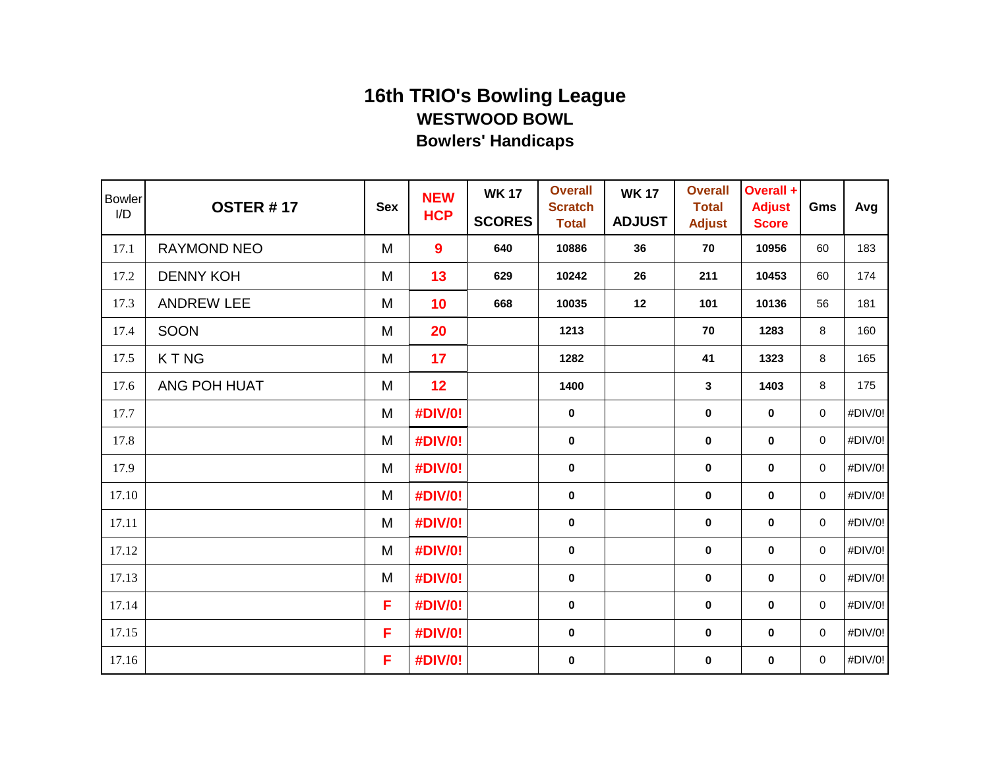| <b>Bowler</b><br>I/D | <b>OSTER #17</b>  | <b>Sex</b> | <b>NEW</b><br><b>HCP</b> | <b>WK 17</b><br><b>SCORES</b> | <b>Overall</b><br><b>Scratch</b><br><b>Total</b> | <b>WK17</b><br><b>ADJUST</b> | <b>Overall</b><br><b>Total</b><br><b>Adjust</b> | Overall +<br><b>Adjust</b><br><b>Score</b> | Gms         | Avg     |
|----------------------|-------------------|------------|--------------------------|-------------------------------|--------------------------------------------------|------------------------------|-------------------------------------------------|--------------------------------------------|-------------|---------|
| 17.1                 | RAYMOND NEO       | M          | 9                        | 640                           | 10886                                            | 36                           | 70                                              | 10956                                      | 60          | 183     |
| 17.2                 | <b>DENNY KOH</b>  | M          | 13                       | 629                           | 10242                                            | 26                           | 211                                             | 10453                                      | 60          | 174     |
| 17.3                 | <b>ANDREW LEE</b> | M          | 10                       | 668                           | 10035                                            | 12                           | 101                                             | 10136                                      | 56          | 181     |
| 17.4                 | SOON              | M          | 20                       |                               | 1213                                             |                              | 70                                              | 1283                                       | 8           | 160     |
| 17.5                 | <b>KTNG</b>       | M          | 17                       |                               | 1282                                             |                              | 41                                              | 1323                                       | 8           | 165     |
| 17.6                 | ANG POH HUAT      | M          | 12                       |                               | 1400                                             |                              | 3                                               | 1403                                       | 8           | 175     |
| 17.7                 |                   | M          | #DIV/0!                  |                               | $\mathbf 0$                                      |                              | 0                                               | $\mathbf 0$                                | 0           | #DIV/0! |
| 17.8                 |                   | M          | #DIV/0!                  |                               | $\mathbf 0$                                      |                              | 0                                               | $\mathbf 0$                                | 0           | #DIV/0! |
| 17.9                 |                   | M          | #DIV/0!                  |                               | $\mathbf 0$                                      |                              | 0                                               | $\bf{0}$                                   | $\mathbf 0$ | #DIV/0! |
| 17.10                |                   | M          | #DIV/0!                  |                               | $\pmb{0}$                                        |                              | $\bf{0}$                                        | $\bf{0}$                                   | 0           | #DIV/0! |
| 17.11                |                   | M          | #DIV/0!                  |                               | $\pmb{0}$                                        |                              | $\pmb{0}$                                       | $\pmb{0}$                                  | 0           | #DIV/0! |
| 17.12                |                   | M          | #DIV/0!                  |                               | $\mathbf 0$                                      |                              | $\mathbf 0$                                     | $\mathbf 0$                                | 0           | #DIV/0! |
| 17.13                |                   | M          | #DIV/0!                  |                               | $\mathbf 0$                                      |                              | $\mathbf 0$                                     | $\mathbf 0$                                | 0           | #DIV/0! |
| 17.14                |                   | F          | #DIV/0!                  |                               | $\mathbf 0$                                      |                              | 0                                               | $\bf{0}$                                   | 0           | #DIV/0! |
| 17.15                |                   | F          | #DIV/0!                  |                               | $\mathbf 0$                                      |                              | 0                                               | $\pmb{0}$                                  | 0           | #DIV/0! |
| 17.16                |                   | F          | #DIV/0!                  |                               | $\bf{0}$                                         |                              | 0                                               | $\bf{0}$                                   | 0           | #DIV/0! |